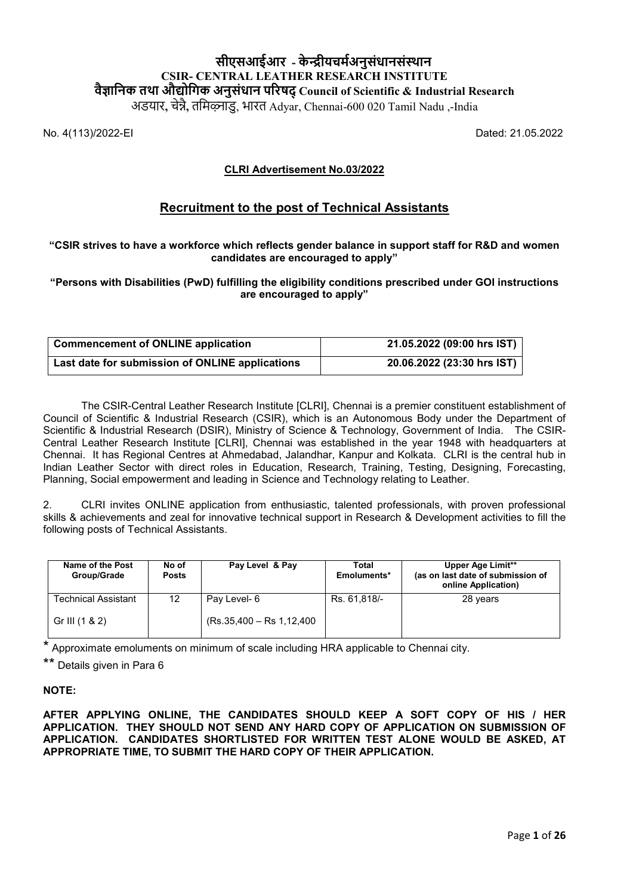# **सीएसआईआर - के �ीयचम�अनुसंधानसंस्थान CSIR- CENTRAL LEATHER RESEARCH INSTITUTE वै�ािनक तथा औ�ोिगक अनुसंधान प�रषद् Council of Scientific & Industrial Research**

अडयार**,** चे�ै**,** तिमऴ्नाडु, भारत Adyar, Chennai-600 020 Tamil Nadu ,-India

No. 4(113)/2022-EI Dated: 21.05.2022

# **CLRI Advertisement No.03/2022**

# **Recruitment to the post of Technical Assistants**

## **"CSIR strives to have a workforce which reflects gender balance in support staff for R&D and women candidates are encouraged to apply"**

#### **"Persons with Disabilities (PwD) fulfilling the eligibility conditions prescribed under GOI instructions are encouraged to apply"**

| <b>Commencement of ONLINE application</b>       | 21.05.2022 (09:00 hrs IST) |
|-------------------------------------------------|----------------------------|
| Last date for submission of ONLINE applications | 20.06.2022 (23:30 hrs IST) |

The CSIR-Central Leather Research Institute [CLRI], Chennai is a premier constituent establishment of Council of Scientific & Industrial Research (CSIR), which is an Autonomous Body under the Department of Scientific & Industrial Research (DSIR), Ministry of Science & Technology, Government of India. The CSIR-Central Leather Research Institute [CLRI], Chennai was established in the year 1948 with headquarters at Chennai. It has Regional Centres at Ahmedabad, Jalandhar, Kanpur and Kolkata. CLRI is the central hub in Indian Leather Sector with direct roles in Education, Research, Training, Testing, Designing, Forecasting, Planning, Social empowerment and leading in Science and Technology relating to Leather.

2. CLRI invites ONLINE application from enthusiastic, talented professionals, with proven professional skills & achievements and zeal for innovative technical support in Research & Development activities to fill the following posts of Technical Assistants.

| Name of the Post<br>Group/Grade | No of<br><b>Posts</b> | Pay Level & Pay           | Total<br>Emoluments* | Upper Age Limit**<br>(as on last date of submission of<br>online Application) |
|---------------------------------|-----------------------|---------------------------|----------------------|-------------------------------------------------------------------------------|
| <b>Technical Assistant</b>      | 12                    | Pay Level- 6              | Rs. 61,818/-         | 28 years                                                                      |
| Gr III (1 & 2)                  |                       | (Rs.35,400 - Rs 1,12,400) |                      |                                                                               |

Approximate emoluments on minimum of scale including HRA applicable to Chennai city.

Details given in Para 6

# **NOTE:**

**AFTER APPLYING ONLINE, THE CANDIDATES SHOULD KEEP A SOFT COPY OF HIS / HER APPLICATION. THEY SHOULD NOT SEND ANY HARD COPY OF APPLICATION ON SUBMISSION OF APPLICATION. CANDIDATES SHORTLISTED FOR WRITTEN TEST ALONE WOULD BE ASKED, AT APPROPRIATE TIME, TO SUBMIT THE HARD COPY OF THEIR APPLICATION.**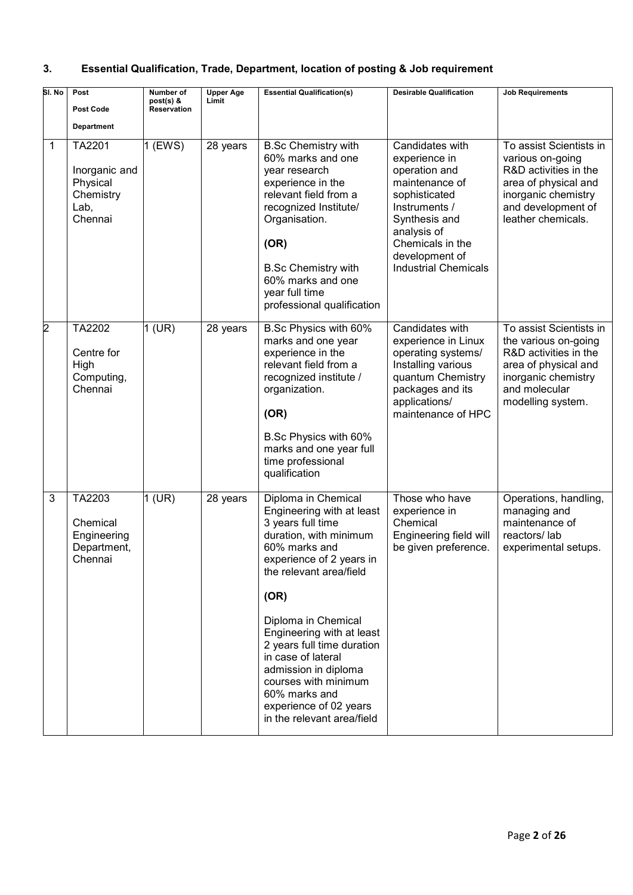# **3. Essential Qualification, Trade, Department, location of posting & Job requirement**

| SI. No | Post<br><b>Post Code</b><br><b>Department</b>                       | Number of<br>post(s) &<br><b>Reservation</b> | <b>Upper Age</b><br>Limit | <b>Essential Qualification(s)</b>                                                                                                                                                                                                                                                                                                                                                                                | <b>Desirable Qualification</b>                                                                                                                                                                             | <b>Job Requirements</b>                                                                                                                                         |
|--------|---------------------------------------------------------------------|----------------------------------------------|---------------------------|------------------------------------------------------------------------------------------------------------------------------------------------------------------------------------------------------------------------------------------------------------------------------------------------------------------------------------------------------------------------------------------------------------------|------------------------------------------------------------------------------------------------------------------------------------------------------------------------------------------------------------|-----------------------------------------------------------------------------------------------------------------------------------------------------------------|
| 1      | TA2201<br>Inorganic and<br>Physical<br>Chemistry<br>Lab,<br>Chennai | 1 (EWS)                                      | 28 years                  | <b>B.Sc Chemistry with</b><br>60% marks and one<br>year research<br>experience in the<br>relevant field from a<br>recognized Institute/<br>Organisation.<br>(OR)<br><b>B.Sc Chemistry with</b><br>60% marks and one<br>year full time<br>professional qualification                                                                                                                                              | Candidates with<br>experience in<br>operation and<br>maintenance of<br>sophisticated<br>Instruments /<br>Synthesis and<br>analysis of<br>Chemicals in the<br>development of<br><b>Industrial Chemicals</b> | To assist Scientists in<br>various on-going<br>R&D activities in the<br>area of physical and<br>inorganic chemistry<br>and development of<br>leather chemicals. |
| 2      | TA2202<br>Centre for<br>High<br>Computing,<br>Chennai               | $1$ (UR)                                     | 28 years                  | B.Sc Physics with 60%<br>marks and one year<br>experience in the<br>relevant field from a<br>recognized institute /<br>organization.<br>(OR)<br>B.Sc Physics with 60%<br>marks and one year full<br>time professional<br>qualification                                                                                                                                                                           | Candidates with<br>experience in Linux<br>operating systems/<br>Installing various<br>quantum Chemistry<br>packages and its<br>applications/<br>maintenance of HPC                                         | To assist Scientists in<br>the various on-going<br>R&D activities in the<br>area of physical and<br>inorganic chemistry<br>and molecular<br>modelling system.   |
| 3      | TA2203<br>Chemical<br>Engineering<br>Department,<br>Chennai         | $1$ (UR)                                     | 28 years                  | Diploma in Chemical<br>Engineering with at least<br>3 years full time<br>duration, with minimum<br>60% marks and<br>experience of 2 years in<br>the relevant area/field<br>(OR)<br>Diploma in Chemical<br>Engineering with at least<br>2 years full time duration<br>in case of lateral<br>admission in diploma<br>courses with minimum<br>60% marks and<br>experience of 02 years<br>in the relevant area/field | Those who have<br>experience in<br>Chemical<br>Engineering field will<br>be given preference.                                                                                                              | Operations, handling,<br>managing and<br>maintenance of<br>reactors/lab<br>experimental setups.                                                                 |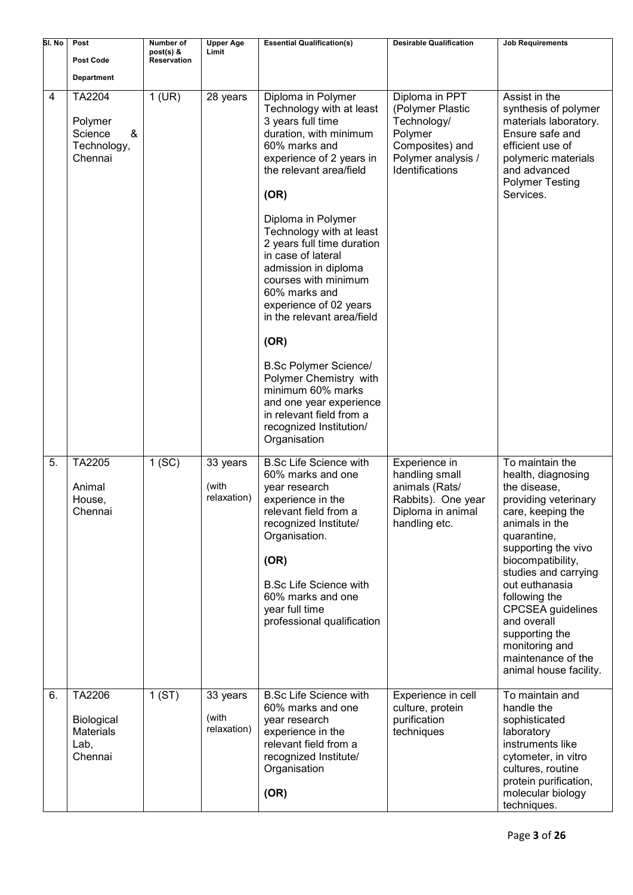| SI. No | Post                                                        | Number of<br>post(s) & | <b>Upper Age</b><br>Limit        | <b>Essential Qualification(s)</b>                                                                                                                                                                                                                                                                                                                                                                                                                                                                                                                                                                     | <b>Desirable Qualification</b>                                                                                           | <b>Job Requirements</b>                                                                                                                                                                                                                                                                                                                                                   |
|--------|-------------------------------------------------------------|------------------------|----------------------------------|-------------------------------------------------------------------------------------------------------------------------------------------------------------------------------------------------------------------------------------------------------------------------------------------------------------------------------------------------------------------------------------------------------------------------------------------------------------------------------------------------------------------------------------------------------------------------------------------------------|--------------------------------------------------------------------------------------------------------------------------|---------------------------------------------------------------------------------------------------------------------------------------------------------------------------------------------------------------------------------------------------------------------------------------------------------------------------------------------------------------------------|
|        | <b>Post Code</b>                                            | <b>Reservation</b>     |                                  |                                                                                                                                                                                                                                                                                                                                                                                                                                                                                                                                                                                                       |                                                                                                                          |                                                                                                                                                                                                                                                                                                                                                                           |
|        | <b>Department</b>                                           |                        |                                  |                                                                                                                                                                                                                                                                                                                                                                                                                                                                                                                                                                                                       |                                                                                                                          |                                                                                                                                                                                                                                                                                                                                                                           |
| 4      | TA2204<br>Polymer<br>Science<br>&<br>Technology,<br>Chennai | $1$ (UR)               | 28 years                         | Diploma in Polymer<br>Technology with at least<br>3 years full time<br>duration, with minimum<br>60% marks and<br>experience of 2 years in<br>the relevant area/field<br>(OR)<br>Diploma in Polymer<br>Technology with at least<br>2 years full time duration<br>in case of lateral<br>admission in diploma<br>courses with minimum<br>60% marks and<br>experience of 02 years<br>in the relevant area/field<br>(OR)<br><b>B.Sc Polymer Science/</b><br>Polymer Chemistry with<br>minimum 60% marks<br>and one year experience<br>in relevant field from a<br>recognized Institution/<br>Organisation | Diploma in PPT<br>(Polymer Plastic<br>Technology/<br>Polymer<br>Composites) and<br>Polymer analysis /<br>Identifications | Assist in the<br>synthesis of polymer<br>materials laboratory.<br>Ensure safe and<br>efficient use of<br>polymeric materials<br>and advanced<br><b>Polymer Testing</b><br>Services.                                                                                                                                                                                       |
| 5.     | TA2205<br>Animal<br>House,<br>Chennai                       | 1(SC)                  | 33 years<br>(with<br>relaxation) | <b>B.Sc Life Science with</b><br>60% marks and one<br>year research<br>experience in the<br>relevant field from a<br>recognized Institute/<br>Organisation.<br>(OR)<br><b>B.Sc Life Science with</b><br>60% marks and one<br>year full time<br>professional qualification                                                                                                                                                                                                                                                                                                                             | Experience in<br>handling small<br>animals (Rats/<br>Rabbits). One year<br>Diploma in animal<br>handling etc.            | To maintain the<br>health, diagnosing<br>the disease,<br>providing veterinary<br>care, keeping the<br>animals in the<br>quarantine,<br>supporting the vivo<br>biocompatibility,<br>studies and carrying<br>out euthanasia<br>following the<br><b>CPCSEA</b> guidelines<br>and overall<br>supporting the<br>monitoring and<br>maintenance of the<br>animal house facility. |
| 6.     | TA2206<br>Biological<br><b>Materials</b><br>Lab,<br>Chennai | 1(ST)                  | 33 years<br>(with<br>relaxation) | <b>B.Sc Life Science with</b><br>60% marks and one<br>year research<br>experience in the<br>relevant field from a<br>recognized Institute/<br>Organisation<br>(OR)                                                                                                                                                                                                                                                                                                                                                                                                                                    | Experience in cell<br>culture, protein<br>purification<br>techniques                                                     | To maintain and<br>handle the<br>sophisticated<br>laboratory<br>instruments like<br>cytometer, in vitro<br>cultures, routine<br>protein purification,<br>molecular biology<br>techniques.                                                                                                                                                                                 |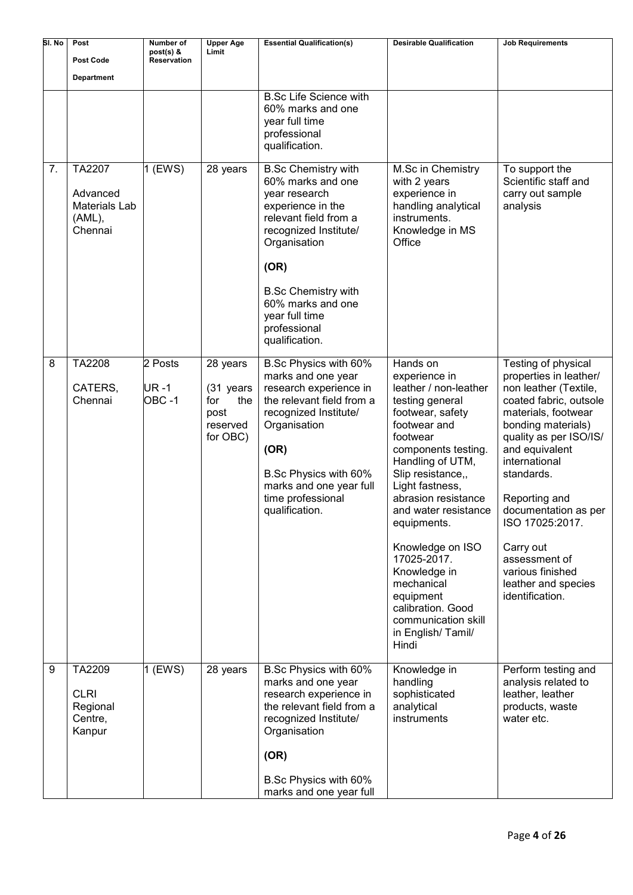| SI. No | Post<br><b>Post Code</b>                                 | Number of<br>post(s) &<br><b>Reservation</b> | <b>Upper Age</b><br>Limit                                           | <b>Essential Qualification(s)</b>                                                                                                                                                                                                                                      | <b>Desirable Qualification</b>                                                                                                                                                                                                                                                                                                                                                                                                 | <b>Job Requirements</b>                                                                                                                                                                                                                                                                                                                                                          |
|--------|----------------------------------------------------------|----------------------------------------------|---------------------------------------------------------------------|------------------------------------------------------------------------------------------------------------------------------------------------------------------------------------------------------------------------------------------------------------------------|--------------------------------------------------------------------------------------------------------------------------------------------------------------------------------------------------------------------------------------------------------------------------------------------------------------------------------------------------------------------------------------------------------------------------------|----------------------------------------------------------------------------------------------------------------------------------------------------------------------------------------------------------------------------------------------------------------------------------------------------------------------------------------------------------------------------------|
|        | <b>Department</b>                                        |                                              |                                                                     |                                                                                                                                                                                                                                                                        |                                                                                                                                                                                                                                                                                                                                                                                                                                |                                                                                                                                                                                                                                                                                                                                                                                  |
|        |                                                          |                                              |                                                                     | <b>B.Sc Life Science with</b><br>60% marks and one<br>year full time<br>professional<br>qualification.                                                                                                                                                                 |                                                                                                                                                                                                                                                                                                                                                                                                                                |                                                                                                                                                                                                                                                                                                                                                                                  |
| 7.     | TA2207<br>Advanced<br>Materials Lab<br>(AML),<br>Chennai | $1$ (EWS)                                    | 28 years                                                            | <b>B.Sc Chemistry with</b><br>60% marks and one<br>year research<br>experience in the<br>relevant field from a<br>recognized Institute/<br>Organisation<br>(OR)<br><b>B.Sc Chemistry with</b><br>60% marks and one<br>year full time<br>professional<br>qualification. | M.Sc in Chemistry<br>with 2 years<br>experience in<br>handling analytical<br>instruments.<br>Knowledge in MS<br>Office                                                                                                                                                                                                                                                                                                         | To support the<br>Scientific staff and<br>carry out sample<br>analysis                                                                                                                                                                                                                                                                                                           |
| 8      | TA2208<br>CATERS,<br>Chennai                             | 2 Posts<br>UR -1<br>OBC-1                    | 28 years<br>(31 years<br>the<br>for<br>post<br>reserved<br>for OBC) | B.Sc Physics with 60%<br>marks and one year<br>research experience in<br>the relevant field from a<br>recognized Institute/<br>Organisation<br>(OR)<br>B.Sc Physics with 60%<br>marks and one year full<br>time professional<br>qualification.                         | Hands on<br>experience in<br>leather / non-leather<br>testing general<br>footwear, safety<br>footwear and<br>footwear<br>components testing.<br>Handling of UTM,<br>Slip resistance,,<br>Light fastness,<br>abrasion resistance<br>and water resistance<br>equipments.<br>Knowledge on ISO<br>17025-2017.<br>Knowledge in<br>mechanical<br>equipment<br>calibration. Good<br>communication skill<br>in English/Tamil/<br>Hindi | Testing of physical<br>properties in leather/<br>non leather (Textile,<br>coated fabric, outsole<br>materials, footwear<br>bonding materials)<br>quality as per ISO/IS/<br>and equivalent<br>international<br>standards.<br>Reporting and<br>documentation as per<br>ISO 17025:2017.<br>Carry out<br>assessment of<br>various finished<br>leather and species<br>identification. |
| 9      | TA2209<br><b>CLRI</b><br>Regional<br>Centre,<br>Kanpur   | 1 (EWS)                                      | 28 years                                                            | B.Sc Physics with 60%<br>marks and one year<br>research experience in<br>the relevant field from a<br>recognized Institute/<br>Organisation<br>(OR)                                                                                                                    | Knowledge in<br>handling<br>sophisticated<br>analytical<br>instruments                                                                                                                                                                                                                                                                                                                                                         | Perform testing and<br>analysis related to<br>leather, leather<br>products, waste<br>water etc.                                                                                                                                                                                                                                                                                  |
|        |                                                          |                                              |                                                                     | B.Sc Physics with 60%<br>marks and one year full                                                                                                                                                                                                                       |                                                                                                                                                                                                                                                                                                                                                                                                                                |                                                                                                                                                                                                                                                                                                                                                                                  |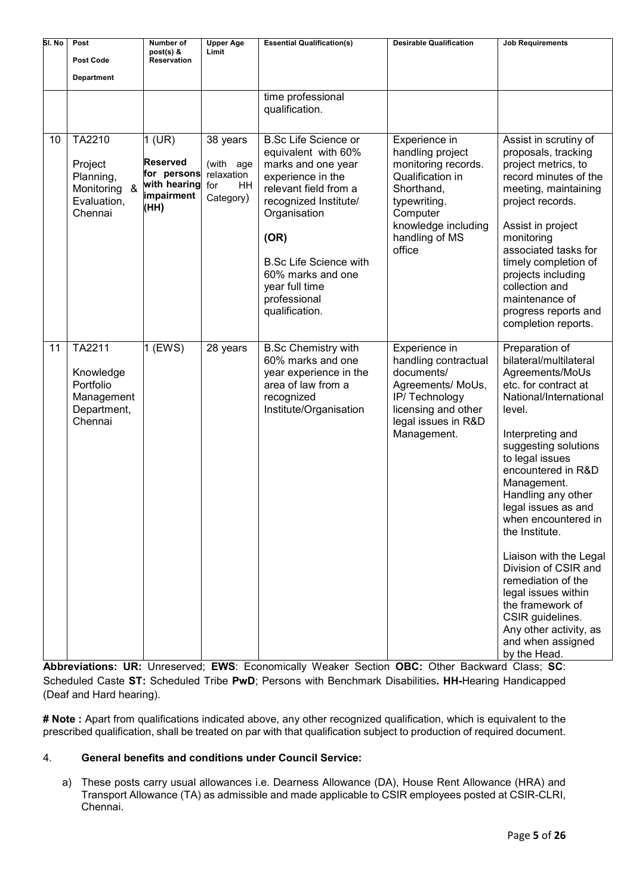| SI. No | Post<br><b>Post Code</b><br><b>Department</b>                               | Number of<br>$post(s)$ &<br><b>Reservation</b>                                   | <b>Upper Age</b><br>Limit                                     | <b>Essential Qualification(s)</b>                                                                                                                                                                                                                                                 | <b>Desirable Qualification</b>                                                                                                                                            | <b>Job Requirements</b>                                                                                                                                                                                                                                                                                                                                                                                                                                                                                                 |
|--------|-----------------------------------------------------------------------------|----------------------------------------------------------------------------------|---------------------------------------------------------------|-----------------------------------------------------------------------------------------------------------------------------------------------------------------------------------------------------------------------------------------------------------------------------------|---------------------------------------------------------------------------------------------------------------------------------------------------------------------------|-------------------------------------------------------------------------------------------------------------------------------------------------------------------------------------------------------------------------------------------------------------------------------------------------------------------------------------------------------------------------------------------------------------------------------------------------------------------------------------------------------------------------|
|        |                                                                             |                                                                                  |                                                               | time professional<br>qualification.                                                                                                                                                                                                                                               |                                                                                                                                                                           |                                                                                                                                                                                                                                                                                                                                                                                                                                                                                                                         |
| 10     | TA2210<br>Project<br>Planning,<br>&<br>Monitoring<br>Evaluation,<br>Chennai | $1$ (UR)<br><b>Reserved</b><br>for persons<br>with hearing<br>impairment<br>(HH) | 38 years<br>(with age<br>relaxation<br>HH<br>for<br>Category) | <b>B.Sc Life Science or</b><br>equivalent with 60%<br>marks and one year<br>experience in the<br>relevant field from a<br>recognized Institute/<br>Organisation<br>(OR)<br><b>B.Sc Life Science with</b><br>60% marks and one<br>year full time<br>professional<br>qualification. | Experience in<br>handling project<br>monitoring records.<br>Qualification in<br>Shorthand,<br>typewriting.<br>Computer<br>knowledge including<br>handling of MS<br>office | Assist in scrutiny of<br>proposals, tracking<br>project metrics, to<br>record minutes of the<br>meeting, maintaining<br>project records.<br>Assist in project<br>monitoring<br>associated tasks for<br>timely completion of<br>projects including<br>collection and<br>maintenance of<br>progress reports and<br>completion reports.                                                                                                                                                                                    |
| 11     | TA2211<br>Knowledge<br>Portfolio<br>Management<br>Department,<br>Chennai    | 1 (EWS)                                                                          | 28 years                                                      | <b>B.Sc Chemistry with</b><br>60% marks and one<br>year experience in the<br>area of law from a<br>recognized<br>Institute/Organisation                                                                                                                                           | Experience in<br>handling contractual<br>documents/<br>Agreements/ MoUs,<br>IP/Technology<br>licensing and other<br>legal issues in R&D<br>Management.                    | Preparation of<br>bilateral/multilateral<br>Agreements/MoUs<br>etc. for contract at<br>National/International<br>level.<br>Interpreting and<br>suggesting solutions<br>to legal issues<br>encountered in R&D<br>Management.<br>Handling any other<br>legal issues as and<br>when encountered in<br>the Institute.<br>Liaison with the Legal<br>Division of CSIR and<br>remediation of the<br>legal issues within<br>the framework of<br>CSIR guidelines.<br>Any other activity, as<br>and when assigned<br>by the Head. |

**Abbreviations: UR:** Unreserved; **EWS**: Economically Weaker Section **OBC:** Other Backward Class; **SC**: Scheduled Caste **ST:** Scheduled Tribe **PwD**; Persons with Benchmark Disabilities**. HH-**Hearing Handicapped (Deaf and Hard hearing).

**# Note :** Apart from qualifications indicated above, any other recognized qualification, which is equivalent to the prescribed qualification, shall be treated on par with that qualification subject to production of required document.

# 4. **General benefits and conditions under Council Service:**

a) These posts carry usual allowances i.e. Dearness Allowance (DA), House Rent Allowance (HRA) and Transport Allowance (TA) as admissible and made applicable to CSIR employees posted at CSIR-CLRI, Chennai.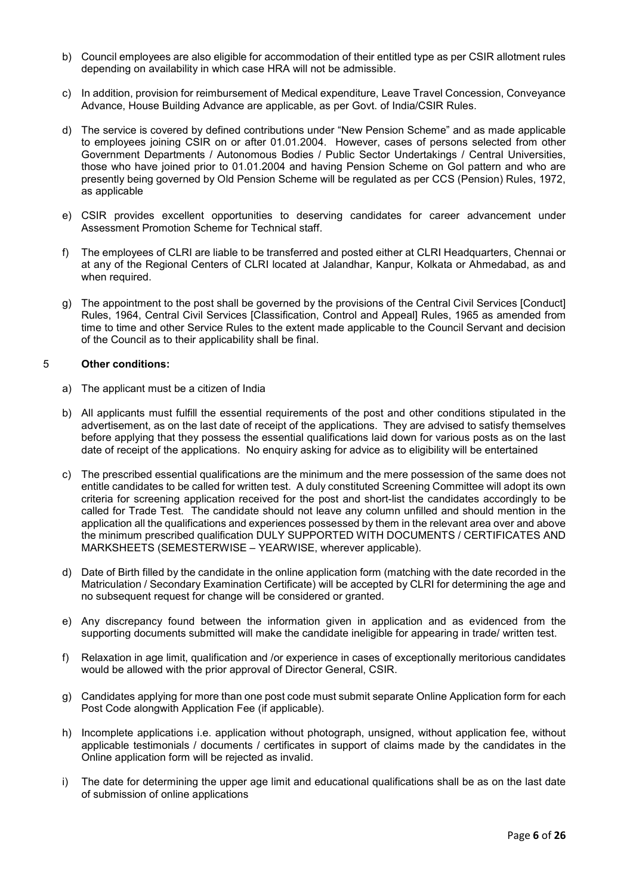- b) Council employees are also eligible for accommodation of their entitled type as per CSIR allotment rules depending on availability in which case HRA will not be admissible.
- c) In addition, provision for reimbursement of Medical expenditure, Leave Travel Concession, Conveyance Advance, House Building Advance are applicable, as per Govt. of India/CSIR Rules.
- d) The service is covered by defined contributions under "New Pension Scheme" and as made applicable to employees joining CSIR on or after 01.01.2004. However, cases of persons selected from other Government Departments / Autonomous Bodies / Public Sector Undertakings / Central Universities, those who have joined prior to 01.01.2004 and having Pension Scheme on Gol pattern and who are presently being governed by Old Pension Scheme will be regulated as per CCS (Pension) Rules, 1972, as applicable
- e) CSIR provides excellent opportunities to deserving candidates for career advancement under Assessment Promotion Scheme for Technical staff.
- f) The employees of CLRI are liable to be transferred and posted either at CLRI Headquarters, Chennai or at any of the Regional Centers of CLRI located at Jalandhar, Kanpur, Kolkata or Ahmedabad, as and when required.
- g) The appointment to the post shall be governed by the provisions of the Central Civil Services [Conduct] Rules, 1964, Central Civil Services [Classification, Control and Appeal] Rules, 1965 as amended from time to time and other Service Rules to the extent made applicable to the Council Servant and decision of the Council as to their applicability shall be final.

#### 5 **Other conditions:**

- a) The applicant must be a citizen of India
- b) All applicants must fulfill the essential requirements of the post and other conditions stipulated in the advertisement, as on the last date of receipt of the applications. They are advised to satisfy themselves before applying that they possess the essential qualifications laid down for various posts as on the last date of receipt of the applications. No enquiry asking for advice as to eligibility will be entertained
- c) The prescribed essential qualifications are the minimum and the mere possession of the same does not entitle candidates to be called for written test. A duly constituted Screening Committee will adopt its own criteria for screening application received for the post and short-list the candidates accordingly to be called for Trade Test. The candidate should not leave any column unfilled and should mention in the application all the qualifications and experiences possessed by them in the relevant area over and above the minimum prescribed qualification DULY SUPPORTED WITH DOCUMENTS / CERTIFICATES AND MARKSHEETS (SEMESTERWISE – YEARWISE, wherever applicable).
- d) Date of Birth filled by the candidate in the online application form (matching with the date recorded in the Matriculation / Secondary Examination Certificate) will be accepted by CLRI for determining the age and no subsequent request for change will be considered or granted.
- e) Any discrepancy found between the information given in application and as evidenced from the supporting documents submitted will make the candidate ineligible for appearing in trade/ written test.
- f) Relaxation in age limit, qualification and /or experience in cases of exceptionally meritorious candidates would be allowed with the prior approval of Director General, CSIR.
- g) Candidates applying for more than one post code must submit separate Online Application form for each Post Code alongwith Application Fee (if applicable).
- h) Incomplete applications i.e. application without photograph, unsigned, without application fee, without applicable testimonials / documents / certificates in support of claims made by the candidates in the Online application form will be rejected as invalid.
- i) The date for determining the upper age limit and educational qualifications shall be as on the last date of submission of online applications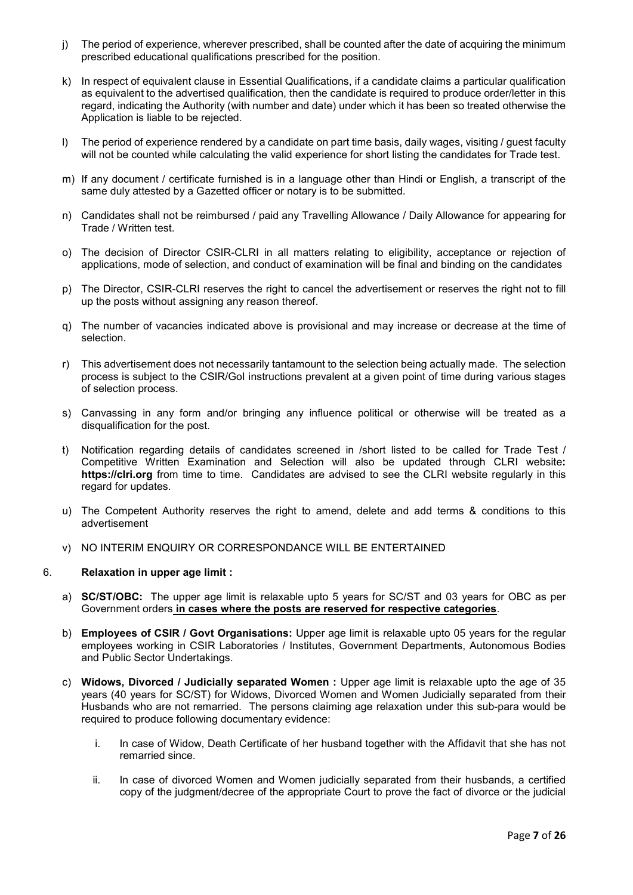- j) The period of experience, wherever prescribed, shall be counted after the date of acquiring the minimum prescribed educational qualifications prescribed for the position.
- k) In respect of equivalent clause in Essential Qualifications, if a candidate claims a particular qualification as equivalent to the advertised qualification, then the candidate is required to produce order/letter in this regard, indicating the Authority (with number and date) under which it has been so treated otherwise the Application is liable to be rejected.
- l) The period of experience rendered by a candidate on part time basis, daily wages, visiting / guest faculty will not be counted while calculating the valid experience for short listing the candidates for Trade test.
- m) If any document / certificate furnished is in a language other than Hindi or English, a transcript of the same duly attested by a Gazetted officer or notary is to be submitted.
- n) Candidates shall not be reimbursed / paid any Travelling Allowance / Daily Allowance for appearing for Trade / Written test.
- o) The decision of Director CSIR-CLRI in all matters relating to eligibility, acceptance or rejection of applications, mode of selection, and conduct of examination will be final and binding on the candidates
- p) The Director, CSIR-CLRI reserves the right to cancel the advertisement or reserves the right not to fill up the posts without assigning any reason thereof.
- q) The number of vacancies indicated above is provisional and may increase or decrease at the time of selection.
- r) This advertisement does not necessarily tantamount to the selection being actually made. The selection process is subject to the CSIR/GoI instructions prevalent at a given point of time during various stages of selection process.
- s) Canvassing in any form and/or bringing any influence political or otherwise will be treated as a disqualification for the post.
- t) Notification regarding details of candidates screened in /short listed to be called for Trade Test / Competitive Written Examination and Selection will also be updated through CLRI website**: https://clri.org** from time to time. Candidates are advised to see the CLRI website regularly in this regard for updates.
- u) The Competent Authority reserves the right to amend, delete and add terms & conditions to this advertisement
- v) NO INTERIM ENQUIRY OR CORRESPONDANCE WILL BE ENTERTAINED

#### 6. **Relaxation in upper age limit :**

- a) **SC/ST/OBC:** The upper age limit is relaxable upto 5 years for SC/ST and 03 years for OBC as per Government orders **in cases where the posts are reserved for respective categories**.
- b) **Employees of CSIR / Govt Organisations:** Upper age limit is relaxable upto 05 years for the regular employees working in CSIR Laboratories / Institutes, Government Departments, Autonomous Bodies and Public Sector Undertakings.
- c) **Widows, Divorced / Judicially separated Women :** Upper age limit is relaxable upto the age of 35 years (40 years for SC/ST) for Widows, Divorced Women and Women Judicially separated from their Husbands who are not remarried. The persons claiming age relaxation under this sub-para would be required to produce following documentary evidence:
	- i. In case of Widow, Death Certificate of her husband together with the Affidavit that she has not remarried since.
	- ii. In case of divorced Women and Women judicially separated from their husbands, a certified copy of the judgment/decree of the appropriate Court to prove the fact of divorce or the judicial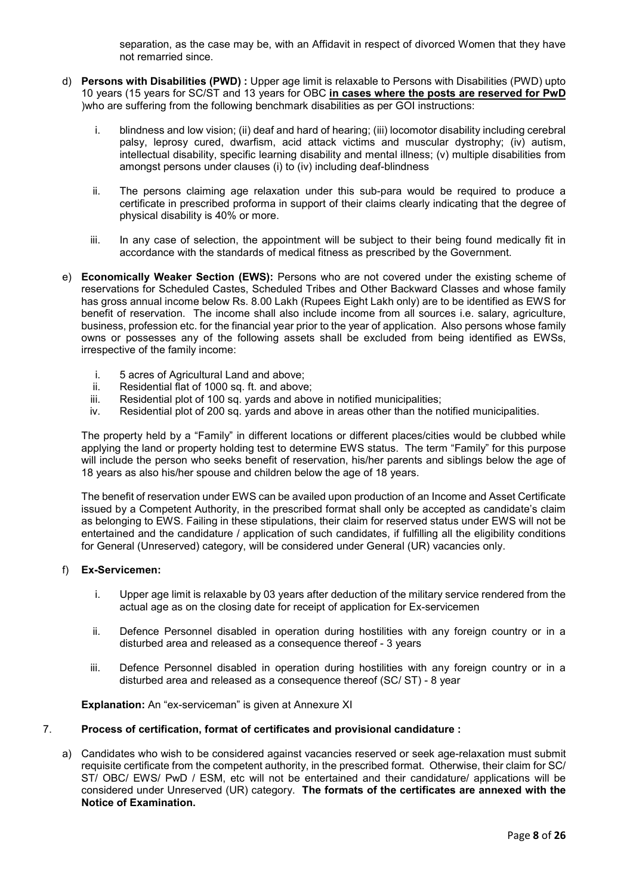separation, as the case may be, with an Affidavit in respect of divorced Women that they have not remarried since.

- d) **Persons with Disabilities (PWD) :** Upper age limit is relaxable to Persons with Disabilities (PWD) upto 10 years (15 years for SC/ST and 13 years for OBC **in cases where the posts are reserved for PwD** )who are suffering from the following benchmark disabilities as per GOI instructions:
	- i. blindness and low vision; (ii) deaf and hard of hearing; (iii) locomotor disability including cerebral palsy, leprosy cured, dwarfism, acid attack victims and muscular dystrophy; (iv) autism, intellectual disability, specific learning disability and mental illness; (v) multiple disabilities from amongst persons under clauses (i) to (iv) including deaf-blindness
	- ii. The persons claiming age relaxation under this sub-para would be required to produce a certificate in prescribed proforma in support of their claims clearly indicating that the degree of physical disability is 40% or more.
	- iii. In any case of selection, the appointment will be subject to their being found medically fit in accordance with the standards of medical fitness as prescribed by the Government.
- e) **Economically Weaker Section (EWS):** Persons who are not covered under the existing scheme of reservations for Scheduled Castes, Scheduled Tribes and Other Backward Classes and whose family has gross annual income below Rs. 8.00 Lakh (Rupees Eight Lakh only) are to be identified as EWS for benefit of reservation. The income shall also include income from all sources i.e. salary, agriculture, business, profession etc. for the financial year prior to the year of application. Also persons whose family owns or possesses any of the following assets shall be excluded from being identified as EWSs, irrespective of the family income:
	- i. 5 acres of Agricultural Land and above;
	- ii. Residential flat of 1000 sq. ft. and above;
	- iii. Residential plot of 100 sq. yards and above in notified municipalities;
	- iv. Residential plot of 200 sq. yards and above in areas other than the notified municipalities.

The property held by a "Family" in different locations or different places/cities would be clubbed while applying the land or property holding test to determine EWS status. The term "Family" for this purpose will include the person who seeks benefit of reservation, his/her parents and siblings below the age of 18 years as also his/her spouse and children below the age of 18 years.

The benefit of reservation under EWS can be availed upon production of an Income and Asset Certificate issued by a Competent Authority, in the prescribed format shall only be accepted as candidate's claim as belonging to EWS. Failing in these stipulations, their claim for reserved status under EWS will not be entertained and the candidature / application of such candidates, if fulfilling all the eligibility conditions for General (Unreserved) category, will be considered under General (UR) vacancies only.

#### f) **Ex-Servicemen:**

- i. Upper age limit is relaxable by 03 years after deduction of the military service rendered from the actual age as on the closing date for receipt of application for Ex-servicemen
- ii. Defence Personnel disabled in operation during hostilities with any foreign country or in a disturbed area and released as a consequence thereof - 3 years
- iii. Defence Personnel disabled in operation during hostilities with any foreign country or in a disturbed area and released as a consequence thereof (SC/ ST) - 8 year

#### **Explanation:** An "ex-serviceman" is given at Annexure XI

#### 7. **Process of certification, format of certificates and provisional candidature :**

a) Candidates who wish to be considered against vacancies reserved or seek age-relaxation must submit requisite certificate from the competent authority, in the prescribed format. Otherwise, their claim for SC/ ST/ OBC/ EWS/ PwD / ESM, etc will not be entertained and their candidature/ applications will be considered under Unreserved (UR) category. **The formats of the certificates are annexed with the Notice of Examination.**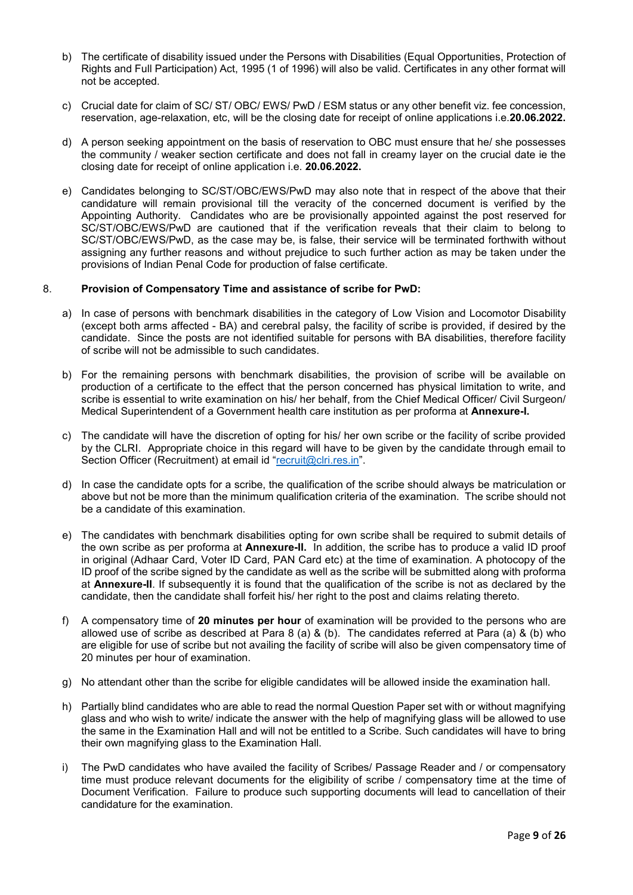- b) The certificate of disability issued under the Persons with Disabilities (Equal Opportunities, Protection of Rights and Full Participation) Act, 1995 (1 of 1996) will also be valid. Certificates in any other format will not be accepted.
- c) Crucial date for claim of SC/ ST/ OBC/ EWS/ PwD / ESM status or any other benefit viz. fee concession, reservation, age-relaxation, etc, will be the closing date for receipt of online applications i.e.**20.06.2022.**
- d) A person seeking appointment on the basis of reservation to OBC must ensure that he/ she possesses the community / weaker section certificate and does not fall in creamy layer on the crucial date ie the closing date for receipt of online application i.e. **20.06.2022.**
- e) Candidates belonging to SC/ST/OBC/EWS/PwD may also note that in respect of the above that their candidature will remain provisional till the veracity of the concerned document is verified by the Appointing Authority. Candidates who are be provisionally appointed against the post reserved for SC/ST/OBC/EWS/PwD are cautioned that if the verification reveals that their claim to belong to SC/ST/OBC/EWS/PwD, as the case may be, is false, their service will be terminated forthwith without assigning any further reasons and without prejudice to such further action as may be taken under the provisions of Indian Penal Code for production of false certificate.

#### 8. **Provision of Compensatory Time and assistance of scribe for PwD:**

- a) In case of persons with benchmark disabilities in the category of Low Vision and Locomotor Disability (except both arms affected - BA) and cerebral palsy, the facility of scribe is provided, if desired by the candidate. Since the posts are not identified suitable for persons with BA disabilities, therefore facility of scribe will not be admissible to such candidates.
- b) For the remaining persons with benchmark disabilities, the provision of scribe will be available on production of a certificate to the effect that the person concerned has physical limitation to write, and scribe is essential to write examination on his/ her behalf, from the Chief Medical Officer/ Civil Surgeon/ Medical Superintendent of a Government health care institution as per proforma at **Annexure-I.**
- c) The candidate will have the discretion of opting for his/ her own scribe or the facility of scribe provided by the CLRI. Appropriate choice in this regard will have to be given by the candidate through email to Section Officer (Recruitment) at email id ["recruit@clri.res.in"](mailto:recruit@clri.res.in).
- d) In case the candidate opts for a scribe, the qualification of the scribe should always be matriculation or above but not be more than the minimum qualification criteria of the examination. The scribe should not be a candidate of this examination.
- e) The candidates with benchmark disabilities opting for own scribe shall be required to submit details of the own scribe as per proforma at **Annexure-II.** In addition, the scribe has to produce a valid ID proof in original (Adhaar Card, Voter ID Card, PAN Card etc) at the time of examination. A photocopy of the ID proof of the scribe signed by the candidate as well as the scribe will be submitted along with proforma at **Annexure-II**. If subsequently it is found that the qualification of the scribe is not as declared by the candidate, then the candidate shall forfeit his/ her right to the post and claims relating thereto.
- f) A compensatory time of **20 minutes per hour** of examination will be provided to the persons who are allowed use of scribe as described at Para 8 (a) & (b). The candidates referred at Para (a) & (b) who are eligible for use of scribe but not availing the facility of scribe will also be given compensatory time of 20 minutes per hour of examination.
- g) No attendant other than the scribe for eligible candidates will be allowed inside the examination hall.
- h) Partially blind candidates who are able to read the normal Question Paper set with or without magnifying glass and who wish to write/ indicate the answer with the help of magnifying glass will be allowed to use the same in the Examination Hall and will not be entitled to a Scribe. Such candidates will have to bring their own magnifying glass to the Examination Hall.
- i) The PwD candidates who have availed the facility of Scribes/ Passage Reader and / or compensatory time must produce relevant documents for the eligibility of scribe / compensatory time at the time of Document Verification. Failure to produce such supporting documents will lead to cancellation of their candidature for the examination.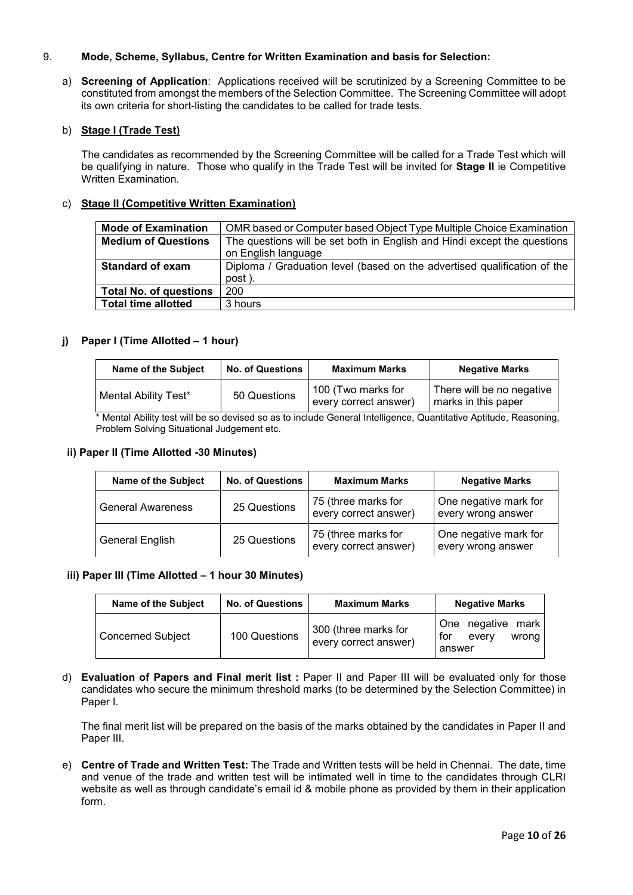## 9. **Mode, Scheme, Syllabus, Centre for Written Examination and basis for Selection:**

a) **Screening of Application**: Applications received will be scrutinized by a Screening Committee to be constituted from amongst the members of the Selection Committee. The Screening Committee will adopt its own criteria for short-listing the candidates to be called for trade tests.

#### b) **Stage I (Trade Test)**

The candidates as recommended by the Screening Committee will be called for a Trade Test which will be qualifying in nature. Those who qualify in the Trade Test will be invited for **Stage II** ie Competitive Written Examination.

# c) **Stage II (Competitive Written Examination)**

| <b>Mode of Examination</b>    | OMR based or Computer based Object Type Multiple Choice Examination      |
|-------------------------------|--------------------------------------------------------------------------|
| <b>Medium of Questions</b>    | The questions will be set both in English and Hindi except the questions |
|                               | on English language                                                      |
| <b>Standard of exam</b>       | Diploma / Graduation level (based on the advertised qualification of the |
|                               | post).                                                                   |
| <b>Total No. of questions</b> | 200                                                                      |
| <b>Total time allotted</b>    | 3 hours                                                                  |
|                               |                                                                          |

#### **j) Paper I (Time Allotted – 1 hour)**

| <b>Name of the Subject</b> | <b>No. of Questions</b> | <b>Maximum Marks</b>                        | <b>Negative Marks</b>                            |
|----------------------------|-------------------------|---------------------------------------------|--------------------------------------------------|
| Mental Ability Test*       | 50 Questions            | 100 (Two marks for<br>every correct answer) | There will be no negative<br>marks in this paper |

\* Mental Ability test will be so devised so as to include General Intelligence, Quantitative Aptitude, Reasoning, Problem Solving Situational Judgement etc.

#### **ii) Paper II (Time Allotted -30 Minutes)**

| <b>Name of the Subject</b> | <b>No. of Questions</b> | <b>Maximum Marks</b>                         | <b>Negative Marks</b>                       |
|----------------------------|-------------------------|----------------------------------------------|---------------------------------------------|
| <b>General Awareness</b>   | 25 Questions            | 75 (three marks for<br>every correct answer) | One negative mark for<br>every wrong answer |
| <b>General English</b>     | 25 Questions            | 75 (three marks for<br>every correct answer) | One negative mark for<br>every wrong answer |

#### **iii) Paper III (Time Allotted – 1 hour 30 Minutes)**

| Name of the Subject | <b>No. of Questions</b> | <b>Maximum Marks</b>                          | <b>Negative Marks</b>                                  |  |  |  |
|---------------------|-------------------------|-----------------------------------------------|--------------------------------------------------------|--|--|--|
| Concerned Subject   | 100 Questions           | 300 (three marks for<br>every correct answer) | One negative mark<br>. for<br>wrong<br>every<br>answer |  |  |  |

d) **Evaluation of Papers and Final merit list :** Paper II and Paper III will be evaluated only for those candidates who secure the minimum threshold marks (to be determined by the Selection Committee) in Paper I.

The final merit list will be prepared on the basis of the marks obtained by the candidates in Paper II and Paper III.

e) **Centre of Trade and Written Test:** The Trade and Written tests will be held in Chennai. The date, time and venue of the trade and written test will be intimated well in time to the candidates through CLRI website as well as through candidate's email id & mobile phone as provided by them in their application form.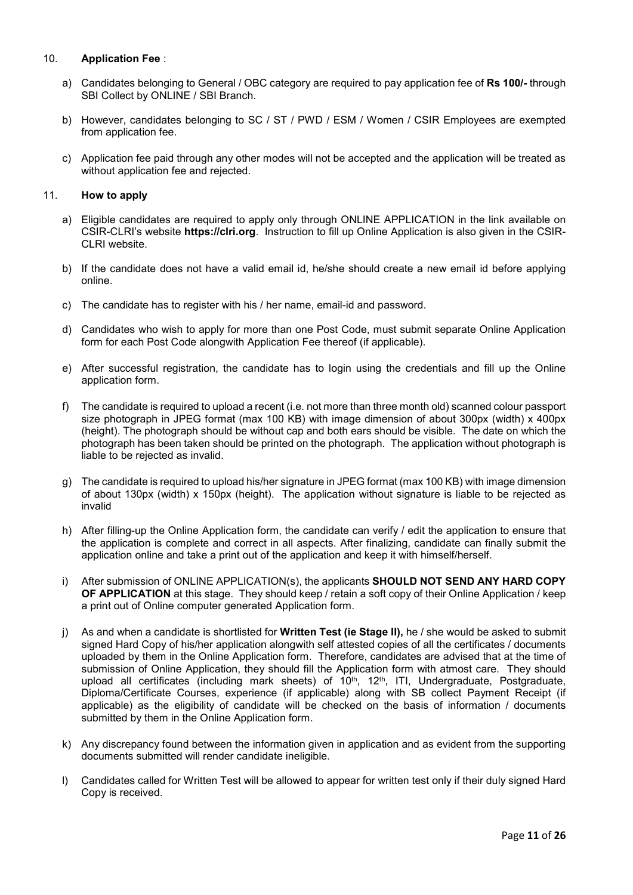## 10. **Application Fee** :

- a) Candidates belonging to General / OBC category are required to pay application fee of **Rs 100/-** through SBI Collect by ONLINE / SBI Branch.
- b) However, candidates belonging to SC / ST / PWD / ESM / Women / CSIR Employees are exempted from application fee.
- c) Application fee paid through any other modes will not be accepted and the application will be treated as without application fee and rejected.

#### 11. **How to apply**

- a) Eligible candidates are required to apply only through ONLINE APPLICATION in the link available on CSIR-CLRI's website **https://clri.org**. Instruction to fill up Online Application is also given in the CSIR-CLRI website.
- b) If the candidate does not have a valid email id, he/she should create a new email id before applying online.
- c) The candidate has to register with his / her name, email-id and password.
- d) Candidates who wish to apply for more than one Post Code, must submit separate Online Application form for each Post Code alongwith Application Fee thereof (if applicable).
- e) After successful registration, the candidate has to login using the credentials and fill up the Online application form.
- f) The candidate is required to upload a recent (i.e. not more than three month old) scanned colour passport size photograph in JPEG format (max 100 KB) with image dimension of about 300px (width) x 400px (height). The photograph should be without cap and both ears should be visible. The date on which the photograph has been taken should be printed on the photograph. The application without photograph is liable to be rejected as invalid.
- g) The candidate is required to upload his/her signature in JPEG format (max 100 KB) with image dimension of about 130px (width) x 150px (height). The application without signature is liable to be rejected as invalid
- h) After filling-up the Online Application form, the candidate can verify / edit the application to ensure that the application is complete and correct in all aspects. After finalizing, candidate can finally submit the application online and take a print out of the application and keep it with himself/herself.
- i) After submission of ONLINE APPLICATION(s), the applicants **SHOULD NOT SEND ANY HARD COPY OF APPLICATION** at this stage. They should keep / retain a soft copy of their Online Application / keep a print out of Online computer generated Application form.
- j) As and when a candidate is shortlisted for **Written Test (ie Stage II),** he / she would be asked to submit signed Hard Copy of his/her application alongwith self attested copies of all the certificates / documents uploaded by them in the Online Application form. Therefore, candidates are advised that at the time of submission of Online Application, they should fill the Application form with atmost care. They should upload all certificates (including mark sheets) of 10<sup>th</sup>, 12<sup>th</sup>, ITI, Undergraduate, Postgraduate, Diploma/Certificate Courses, experience (if applicable) along with SB collect Payment Receipt (if applicable) as the eligibility of candidate will be checked on the basis of information / documents submitted by them in the Online Application form.
- k) Any discrepancy found between the information given in application and as evident from the supporting documents submitted will render candidate ineligible.
- l) Candidates called for Written Test will be allowed to appear for written test only if their duly signed Hard Copy is received.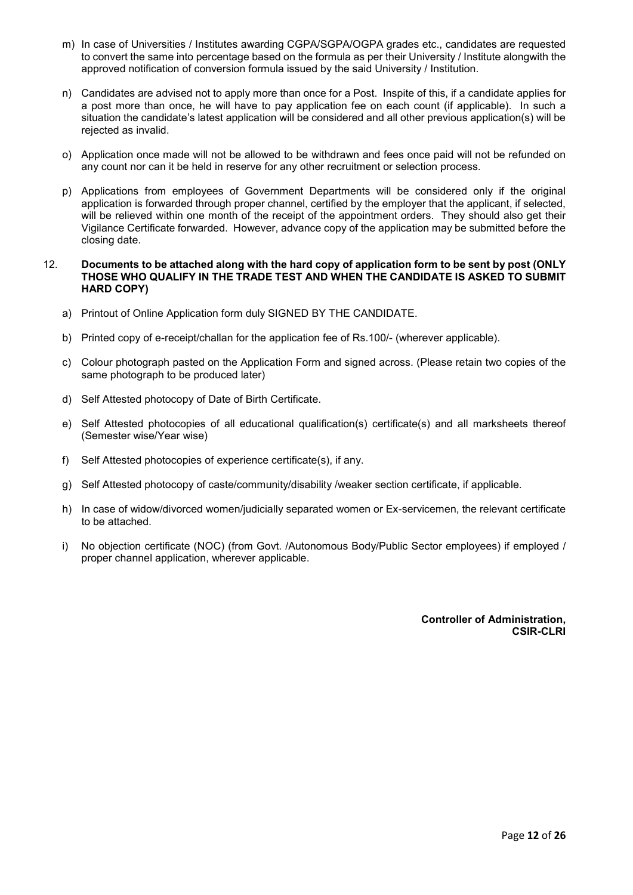- m) In case of Universities / Institutes awarding CGPA/SGPA/OGPA grades etc., candidates are requested to convert the same into percentage based on the formula as per their University / Institute alongwith the approved notification of conversion formula issued by the said University / Institution.
- n) Candidates are advised not to apply more than once for a Post. Inspite of this, if a candidate applies for a post more than once, he will have to pay application fee on each count (if applicable). In such a situation the candidate's latest application will be considered and all other previous application(s) will be rejected as invalid.
- o) Application once made will not be allowed to be withdrawn and fees once paid will not be refunded on any count nor can it be held in reserve for any other recruitment or selection process.
- p) Applications from employees of Government Departments will be considered only if the original application is forwarded through proper channel, certified by the employer that the applicant, if selected, will be relieved within one month of the receipt of the appointment orders. They should also get their Vigilance Certificate forwarded. However, advance copy of the application may be submitted before the closing date.

#### 12. **Documents to be attached along with the hard copy of application form to be sent by post (ONLY THOSE WHO QUALIFY IN THE TRADE TEST AND WHEN THE CANDIDATE IS ASKED TO SUBMIT HARD COPY)**

- a) Printout of Online Application form duly SIGNED BY THE CANDIDATE.
- b) Printed copy of e-receipt/challan for the application fee of Rs.100/- (wherever applicable).
- c) Colour photograph pasted on the Application Form and signed across. (Please retain two copies of the same photograph to be produced later)
- d) Self Attested photocopy of Date of Birth Certificate.
- e) Self Attested photocopies of all educational qualification(s) certificate(s) and all marksheets thereof (Semester wise/Year wise)
- f) Self Attested photocopies of experience certificate(s), if any.
- g) Self Attested photocopy of caste/community/disability /weaker section certificate, if applicable.
- h) In case of widow/divorced women/judicially separated women or Ex-servicemen, the relevant certificate to be attached.
- i) No objection certificate (NOC) (from Govt. /Autonomous Body/Public Sector employees) if employed / proper channel application, wherever applicable.

**Controller of Administration, CSIR-CLRI**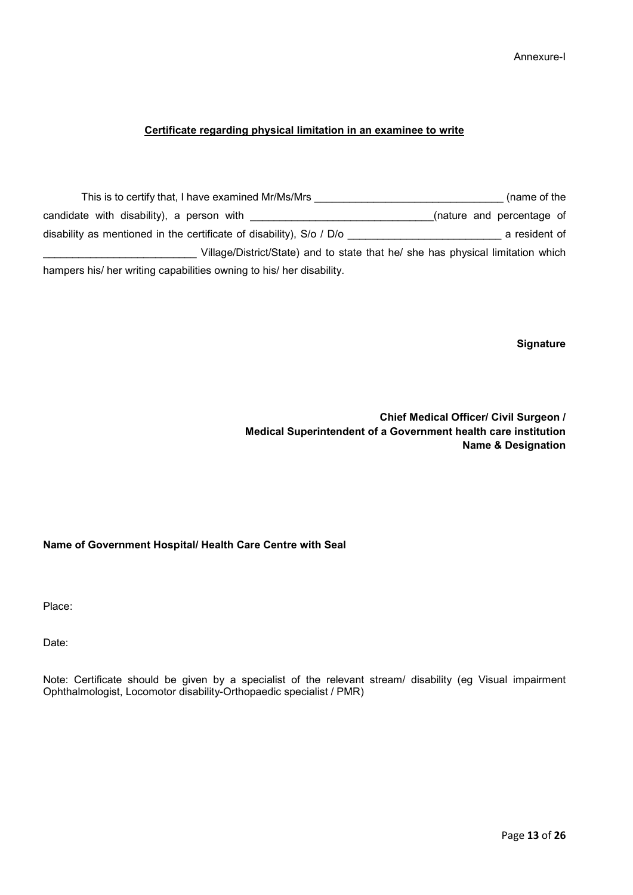Annexure-I

# **Certificate regarding physical limitation in an examinee to write**

| This is to certify that, I have examined Mr/Ms/Mrs                              | (name of the              |
|---------------------------------------------------------------------------------|---------------------------|
| candidate with disability), a person with                                       | (nature and percentage of |
| disability as mentioned in the certificate of disability), S/o / D/o            | a resident of             |
| Village/District/State) and to state that he/ she has physical limitation which |                           |
| hampers his/ her writing capabilities owning to his/ her disability.            |                           |

**Signature** 

**Chief Medical Officer/ Civil Surgeon / Medical Superintendent of a Government health care institution Name & Designation** 

# **Name of Government Hospital/ Health Care Centre with Seal**

Place:

Date:

Note: Certificate should be given by a specialist of the relevant stream/ disability (eg Visual impairment Ophthalmologist, Locomotor disability-Orthopaedic specialist / PMR)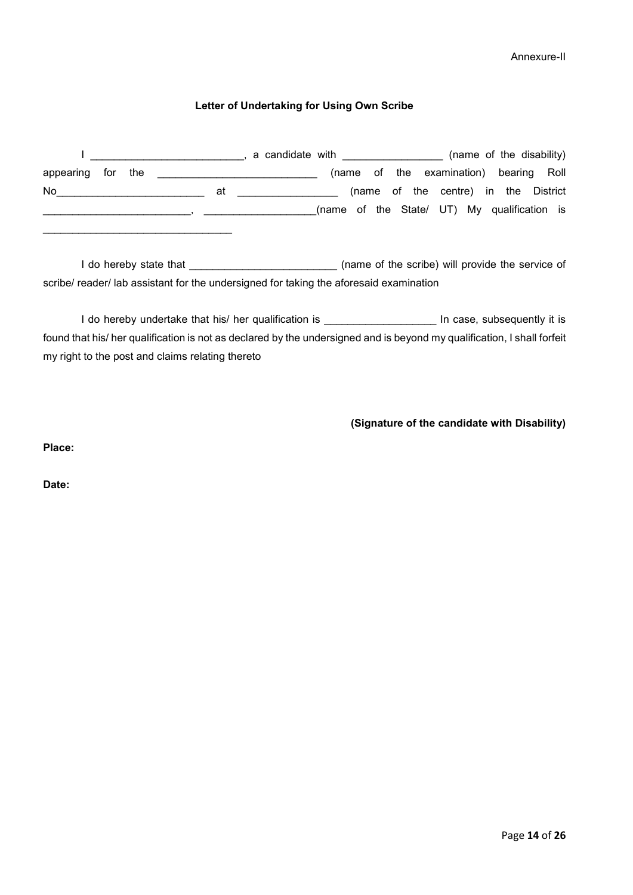Annexure-II

# **Letter of Undertaking for Using Own Scribe**

|                   |  |    | a candidate with <b>contract and the set of the set of the set of the set of the set of the set of the set of th</b> |                                             |  |  |  | (name of the disability)               |  |  |
|-------------------|--|----|----------------------------------------------------------------------------------------------------------------------|---------------------------------------------|--|--|--|----------------------------------------|--|--|
| appearing for the |  |    |                                                                                                                      |                                             |  |  |  | (name of the examination) bearing Roll |  |  |
| No.               |  | at |                                                                                                                      |                                             |  |  |  | (name of the centre) in the District   |  |  |
|                   |  |    |                                                                                                                      | (name of the State/ UT) My qualification is |  |  |  |                                        |  |  |

I do hereby state that \_\_\_\_\_\_\_\_\_\_\_\_\_\_\_\_\_\_\_\_\_\_\_\_\_\_\_\_\_\_\_\_\_ (name of the scribe) will provide the service of scribe/ reader/ lab assistant for the undersigned for taking the aforesaid examination

I do hereby undertake that his/ her qualification is **All and Solution** In case, subsequently it is found that his/ her qualification is not as declared by the undersigned and is beyond my qualification, I shall forfeit my right to the post and claims relating thereto

**(Signature of the candidate with Disability)**

**Place:** 

\_\_\_\_\_\_\_\_\_\_\_\_\_\_\_\_\_\_\_\_\_\_\_\_\_\_\_\_\_\_\_\_

**Date:**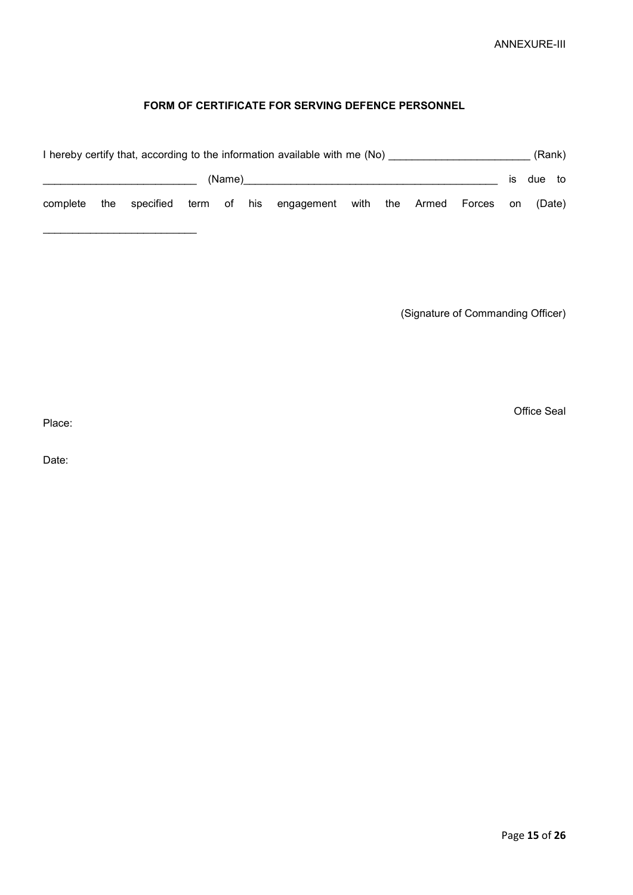# **FORM OF CERTIFICATE FOR SERVING DEFENCE PERSONNEL**

|          |     |  |        | I hereby certify that, according to the information available with me (No) |  |                     |     | (Rank) |    |
|----------|-----|--|--------|----------------------------------------------------------------------------|--|---------------------|-----|--------|----|
|          |     |  | (Name) |                                                                            |  |                     | IS. | due    | to |
| complete | the |  |        | specified term of his engagement with                                      |  | the Armed Forces on |     | (Date) |    |

(Signature of Commanding Officer)

Office Seal

Place:

\_\_\_\_\_\_\_\_\_\_\_\_\_\_\_\_\_\_\_\_\_\_\_\_\_\_

Date: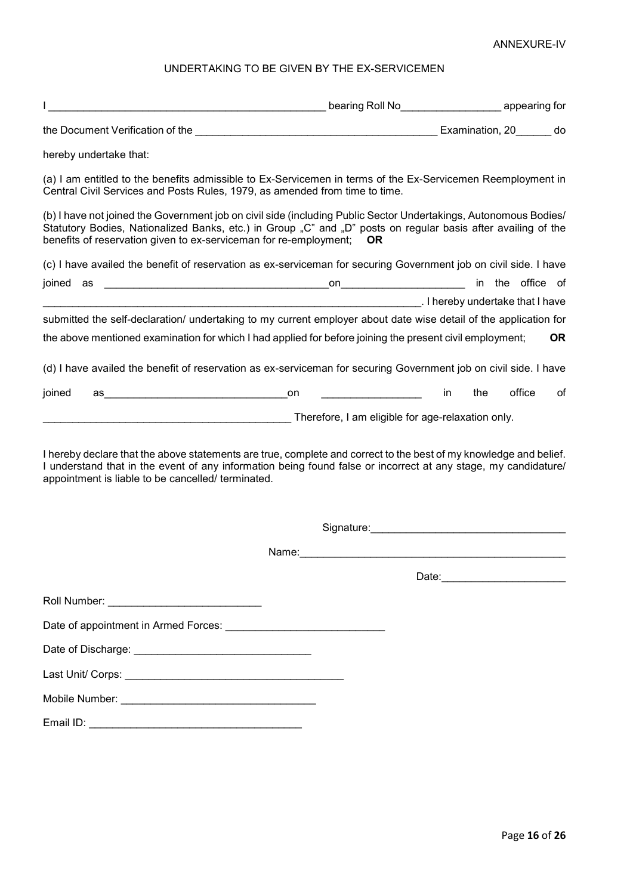# ANNEXURE-IV

# UNDERTAKING TO BE GIVEN BY THE EX-SERVICEMEN

| the control of the control of the control of the control of the control of the control of                                                                                                                                                                                                                 |                                                                                                                                                                                                                                | bearing Roll No<br><u> Letting</u> appearing for |
|-----------------------------------------------------------------------------------------------------------------------------------------------------------------------------------------------------------------------------------------------------------------------------------------------------------|--------------------------------------------------------------------------------------------------------------------------------------------------------------------------------------------------------------------------------|--------------------------------------------------|
| the Document Verification of the <b>Examination</b> , 20 do                                                                                                                                                                                                                                               |                                                                                                                                                                                                                                |                                                  |
| hereby undertake that:                                                                                                                                                                                                                                                                                    |                                                                                                                                                                                                                                |                                                  |
| (a) I am entitled to the benefits admissible to Ex-Servicemen in terms of the Ex-Servicemen Reemployment in<br>Central Civil Services and Posts Rules, 1979, as amended from time to time.                                                                                                                |                                                                                                                                                                                                                                |                                                  |
| (b) I have not joined the Government job on civil side (including Public Sector Undertakings, Autonomous Bodies/<br>Statutory Bodies, Nationalized Banks, etc.) in Group "C" and "D" posts on regular basis after availing of the<br>benefits of reservation given to ex-serviceman for re-employment; OR |                                                                                                                                                                                                                                |                                                  |
| (c) I have availed the benefit of reservation as ex-serviceman for securing Government job on civil side. I have                                                                                                                                                                                          |                                                                                                                                                                                                                                |                                                  |
| joined                                                                                                                                                                                                                                                                                                    |                                                                                                                                                                                                                                |                                                  |
| submitted the self-declaration/ undertaking to my current employer about date wise detail of the application for<br>the above mentioned examination for which I had applied for before joining the present civil employment;                                                                              |                                                                                                                                                                                                                                | <b>OR</b>                                        |
| (d) I have availed the benefit of reservation as ex-serviceman for securing Government job on civil side. I have                                                                                                                                                                                          |                                                                                                                                                                                                                                |                                                  |
| joined                                                                                                                                                                                                                                                                                                    | <u> 1990 - Johann Barbara, martin a</u>                                                                                                                                                                                        | office<br>the<br>0f<br>in                        |
|                                                                                                                                                                                                                                                                                                           | Therefore, I am eligible for age-relaxation only.                                                                                                                                                                              |                                                  |
| I hereby declare that the above statements are true, complete and correct to the best of my knowledge and belief.<br>I understand that in the event of any information being found false or incorrect at any stage, my candidature/<br>appointment is liable to be cancelled/ terminated.                 |                                                                                                                                                                                                                                |                                                  |
|                                                                                                                                                                                                                                                                                                           | Signature: experience and the state of the state of the state of the state of the state of the state of the state of the state of the state of the state of the state of the state of the state of the state of the state of t |                                                  |
|                                                                                                                                                                                                                                                                                                           | Name:<br><u> 1989 - Johann Barbara, martxa alemaniar arg</u>                                                                                                                                                                   |                                                  |
|                                                                                                                                                                                                                                                                                                           |                                                                                                                                                                                                                                |                                                  |
|                                                                                                                                                                                                                                                                                                           |                                                                                                                                                                                                                                |                                                  |
|                                                                                                                                                                                                                                                                                                           |                                                                                                                                                                                                                                |                                                  |
|                                                                                                                                                                                                                                                                                                           |                                                                                                                                                                                                                                |                                                  |
|                                                                                                                                                                                                                                                                                                           |                                                                                                                                                                                                                                |                                                  |
|                                                                                                                                                                                                                                                                                                           |                                                                                                                                                                                                                                |                                                  |
|                                                                                                                                                                                                                                                                                                           |                                                                                                                                                                                                                                |                                                  |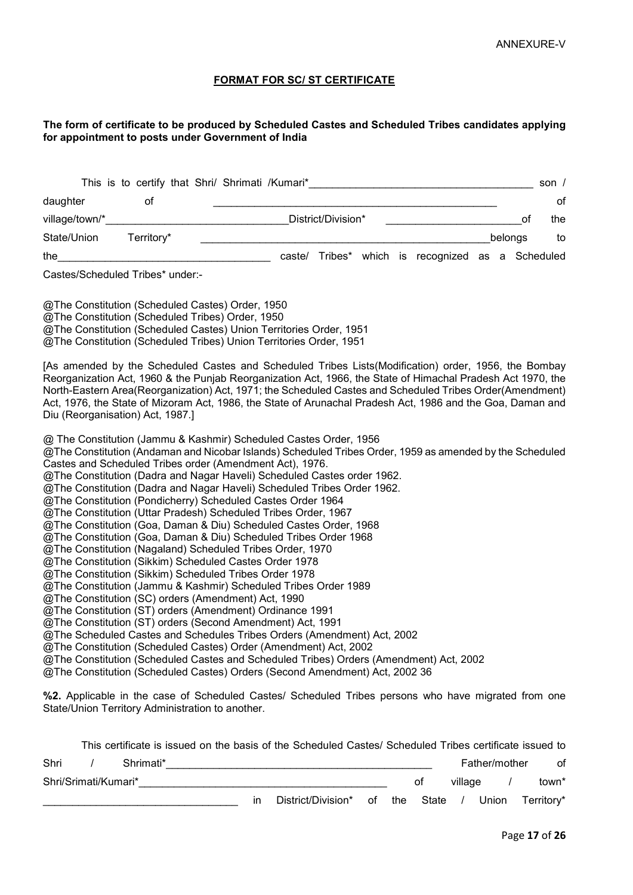## **FORMAT FOR SC/ ST CERTIFICATE**

#### **The form of certificate to be produced by Scheduled Castes and Scheduled Tribes candidates applying for appointment to posts under Government of India**

|            |  |        |                                                 |                    |  |    | son $/$                                               |
|------------|--|--------|-------------------------------------------------|--------------------|--|----|-------------------------------------------------------|
| 0t         |  |        |                                                 |                    |  |    | of                                                    |
|            |  |        |                                                 |                    |  | Ω1 | the                                                   |
| Territory* |  |        |                                                 |                    |  |    | to                                                    |
|            |  | caste/ |                                                 |                    |  |    |                                                       |
|            |  |        | This is to certify that Shri/ Shrimati /Kumari* | District/Division* |  |    | belongs<br>Tribes* which is recognized as a Scheduled |

Castes/Scheduled Tribes\* under:-

@The Constitution (Scheduled Castes) Order, 1950 @The Constitution (Scheduled Tribes) Order, 1950 @The Constitution (Scheduled Castes) Union Territories Order, 1951 @The Constitution (Scheduled Tribes) Union Territories Order, 1951

[As amended by the Scheduled Castes and Scheduled Tribes Lists(Modification) order, 1956, the Bombay Reorganization Act, 1960 & the Punjab Reorganization Act, 1966, the State of Himachal Pradesh Act 1970, the North-Eastern Area(Reorganization) Act, 1971; the Scheduled Castes and Scheduled Tribes Order(Amendment) Act, 1976, the State of Mizoram Act, 1986, the State of Arunachal Pradesh Act, 1986 and the Goa, Daman and Diu (Reorganisation) Act, 1987.]

@ The Constitution (Jammu & Kashmir) Scheduled Castes Order, 1956

@The Constitution (Andaman and Nicobar Islands) Scheduled Tribes Order, 1959 as amended by the Scheduled Castes and Scheduled Tribes order (Amendment Act), 1976.

- @The Constitution (Dadra and Nagar Haveli) Scheduled Castes order 1962.
- @The Constitution (Dadra and Nagar Haveli) Scheduled Tribes Order 1962.
- @The Constitution (Pondicherry) Scheduled Castes Order 1964
- @The Constitution (Uttar Pradesh) Scheduled Tribes Order, 1967
- @The Constitution (Goa, Daman & Diu) Scheduled Castes Order, 1968

@The Constitution (Goa, Daman & Diu) Scheduled Tribes Order 1968

- @The Constitution (Nagaland) Scheduled Tribes Order, 1970
- @The Constitution (Sikkim) Scheduled Castes Order 1978
- @The Constitution (Sikkim) Scheduled Tribes Order 1978
- @The Constitution (Jammu & Kashmir) Scheduled Tribes Order 1989
- @The Constitution (SC) orders (Amendment) Act, 1990

@The Constitution (ST) orders (Amendment) Ordinance 1991

@The Constitution (ST) orders (Second Amendment) Act, 1991

@The Scheduled Castes and Schedules Tribes Orders (Amendment) Act, 2002

@The Constitution (Scheduled Castes) Order (Amendment) Act, 2002

@The Constitution (Scheduled Castes and Scheduled Tribes) Orders (Amendment) Act, 2002

@The Constitution (Scheduled Castes) Orders (Second Amendment) Act, 2002 36

**%2.** Applicable in the case of Scheduled Castes/ Scheduled Tribes persons who have migrated from one State/Union Territory Administration to another.

|      |                      |    | This certificate is issued on the basis of the Scheduled Castes/ Scheduled Tribes certificate issued to |  |    |               |               |            |
|------|----------------------|----|---------------------------------------------------------------------------------------------------------|--|----|---------------|---------------|------------|
| Shri | Shrimati*            |    |                                                                                                         |  |    |               | Father/mother | οf         |
|      | Shri/Srimati/Kumari* |    |                                                                                                         |  | οt | village       |               | town*      |
|      |                      | ın | District/Division* of the State                                                                         |  |    | $\frac{1}{2}$ | Union         | Territory* |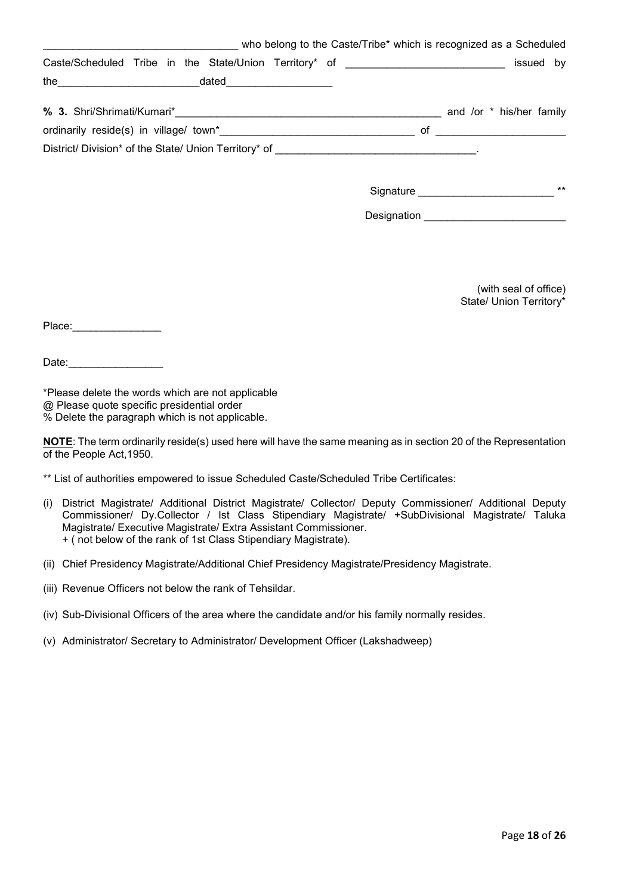| who belong to the Caste/Tribe* which is recognized as a Scheduled                |                                     |
|----------------------------------------------------------------------------------|-------------------------------------|
| Caste/Scheduled Tribe in the State/Union Territory* of _________________________ | issued by                           |
|                                                                                  |                                     |
|                                                                                  | and /or * his/her family            |
|                                                                                  |                                     |
|                                                                                  |                                     |
|                                                                                  | <b>Signature Signature</b><br>$***$ |
|                                                                                  |                                     |
|                                                                                  |                                     |

(with seal of office) State/ Union Territory\*

Place:\_\_\_\_\_\_\_\_\_\_\_\_\_\_\_

Date:

\*Please delete the words which are not applicable @ Please quote specific presidential order % Delete the paragraph which is not applicable.

**NOTE**: The term ordinarily reside(s) used here will have the same meaning as in section 20 of the Representation of the People Act,1950.

- \*\* List of authorities empowered to issue Scheduled Caste/Scheduled Tribe Certificates:
- (i) District Magistrate/ Additional District Magistrate/ Collector/ Deputy Commissioner/ Additional Deputy Commissioner/ Dy.Collector / Ist Class Stipendiary Magistrate/ +SubDivisional Magistrate/ Taluka Magistrate/ Executive Magistrate/ Extra Assistant Commissioner. + ( not below of the rank of 1st Class Stipendiary Magistrate).
- (ii) Chief Presidency Magistrate/Additional Chief Presidency Magistrate/Presidency Magistrate.
- (iii) Revenue Officers not below the rank of Tehsildar.
- (iv) Sub-Divisional Officers of the area where the candidate and/or his family normally resides.
- (v) Administrator/ Secretary to Administrator/ Development Officer (Lakshadweep)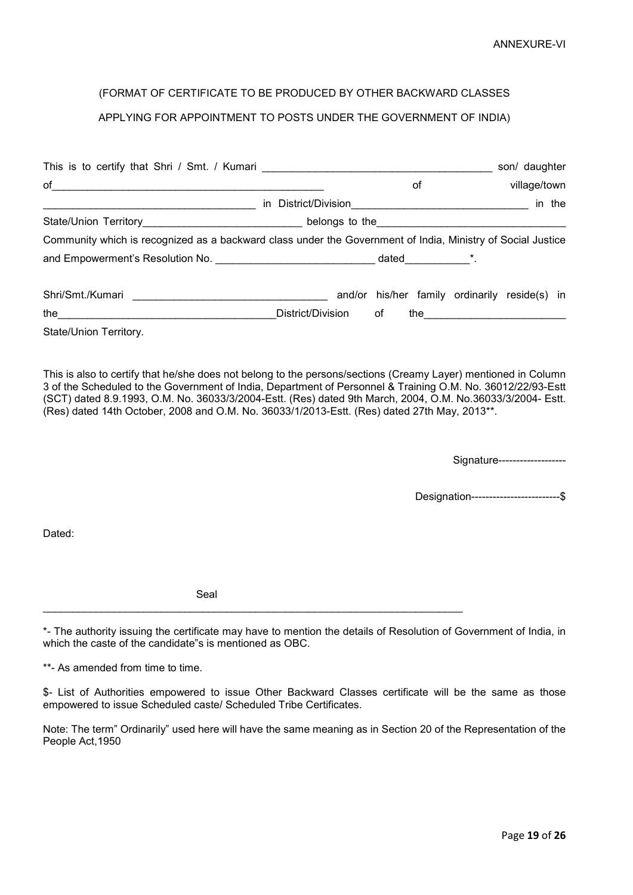# (FORMAT OF CERTIFICATE TO BE PRODUCED BY OTHER BACKWARD CLASSES

# APPLYING FOR APPOINTMENT TO POSTS UNDER THE GOVERNMENT OF INDIA)

| This is to certify that Shri / Smt. / Kumari ___________________________________                                                                                                                                                     |                   |    |    |                                               | son/ daughter |        |
|--------------------------------------------------------------------------------------------------------------------------------------------------------------------------------------------------------------------------------------|-------------------|----|----|-----------------------------------------------|---------------|--------|
| of<br>and the control of the control of the control of the control of the control of the control of the control of the                                                                                                               |                   |    | οf |                                               | village/town  |        |
|                                                                                                                                                                                                                                      |                   |    |    |                                               |               | in the |
|                                                                                                                                                                                                                                      |                   |    |    |                                               |               |        |
| Community which is recognized as a backward class under the Government of India, Ministry of Social Justice                                                                                                                          |                   |    |    |                                               |               |        |
| and Empowerment's Resolution No. <b>All and Empowerment's Resolution No.</b> All and the set of the set of the set of the set of the set of the set of the set of the set of the set of the set of the set of the set of the set of  |                   |    |    |                                               |               |        |
|                                                                                                                                                                                                                                      |                   |    |    | and/or his/her family ordinarily reside(s) in |               |        |
| the <u>successive and the set of the set of the set of the set of the set of the set of the set of the set of the set of the set of the set of the set of the set of the set of the set of the set of the set of the set of the </u> | District/Division | of |    |                                               |               |        |
| State/Union Territory.                                                                                                                                                                                                               |                   |    |    |                                               |               |        |

This is also to certify that he/she does not belong to the persons/sections (Creamy Layer) mentioned in Column 3 of the Scheduled to the Government of India, Department of Personnel & Training O.M. No. 36012/22/93-Estt (SCT) dated 8.9.1993, O.M. No. 36033/3/2004-Estt. (Res) dated 9th March, 2004, O.M. No.36033/3/2004- Estt. (Res) dated 14th October, 2008 and O.M. No. 36033/1/2013-Estt. (Res) dated 27th May, 2013\*\*.

Signature-------------------

Designation-------------------------\$

Dated:

Seal

\_\_\_\_\_\_\_\_\_\_\_\_\_\_\_\_\_\_\_\_\_\_\_\_\_\_\_\_\_\_\_\_\_\_\_\_\_\_\_\_\_\_\_\_\_\_\_\_\_\_\_\_\_\_\_\_\_\_\_\_\_\_\_\_\_\_\_\_\_\_\_

\*- The authority issuing the certificate may have to mention the details of Resolution of Government of India, in which the caste of the candidate"s is mentioned as OBC.

\*\*- As amended from time to time.

\$- List of Authorities empowered to issue Other Backward Classes certificate will be the same as those empowered to issue Scheduled caste/ Scheduled Tribe Certificates.

Note: The term" Ordinarily" used here will have the same meaning as in Section 20 of the Representation of the People Act,1950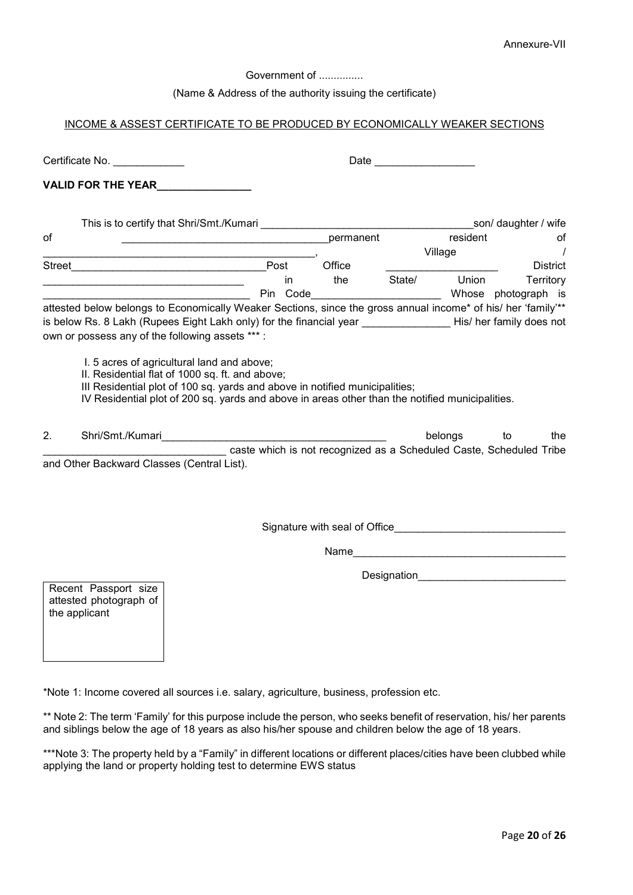Government of ................

(Name & Address of the authority issuing the certificate)

# INCOME & ASSEST CERTIFICATE TO BE PRODUCED BY ECONOMICALLY WEAKER SECTIONS

|    | Certificate No.                                                                                                                                                                                                                                                                  |                                                                                                                                                                                                                                                                                 |                |           |        | Date _____________________ |                                                                                  |
|----|----------------------------------------------------------------------------------------------------------------------------------------------------------------------------------------------------------------------------------------------------------------------------------|---------------------------------------------------------------------------------------------------------------------------------------------------------------------------------------------------------------------------------------------------------------------------------|----------------|-----------|--------|----------------------------|----------------------------------------------------------------------------------|
|    | <b>VALID FOR THE YEAR</b>                                                                                                                                                                                                                                                        |                                                                                                                                                                                                                                                                                 |                |           |        |                            |                                                                                  |
|    |                                                                                                                                                                                                                                                                                  | This is to certify that Shri/Smt./Kumari<br>Shipmari Lines and Containing the Container of the Container of the Container of the Container of the Contain                                                                                                                       |                |           |        |                            | son/ daughter / wife                                                             |
| of |                                                                                                                                                                                                                                                                                  | <u> 1989 - Johann John Harry Harry Harry Harry Harry Harry Harry Harry Harry Harry Harry Harry Harry Harry Harry H</u>                                                                                                                                                          |                | permanent |        | resident                   | οf                                                                               |
|    |                                                                                                                                                                                                                                                                                  | the control of the control of the control of the control of the control of the control of                                                                                                                                                                                       |                |           |        | Village                    | $\prime$                                                                         |
|    |                                                                                                                                                                                                                                                                                  |                                                                                                                                                                                                                                                                                 |                | Office    |        |                            | <b>District</b>                                                                  |
|    |                                                                                                                                                                                                                                                                                  | the control of the control of the control of the control of the control of the control of                                                                                                                                                                                       | in<br>Pin Code | the       | State/ | Union                      | Territory<br>Whose photograph is                                                 |
|    | attested below belongs to Economically Weaker Sections, since the gross annual income* of his/ her 'family'**<br>is below Rs. 8 Lakh (Rupees Eight Lakh only) for the financial year ________________His/ her family does not<br>own or possess any of the following assets ***: |                                                                                                                                                                                                                                                                                 |                |           |        |                            |                                                                                  |
|    |                                                                                                                                                                                                                                                                                  | I. 5 acres of agricultural land and above;<br>II. Residential flat of 1000 sq. ft. and above;<br>III Residential plot of 100 sq. yards and above in notified municipalities;<br>IV Residential plot of 200 sq. yards and above in areas other than the notified municipalities. |                |           |        |                            |                                                                                  |
| 2. |                                                                                                                                                                                                                                                                                  |                                                                                                                                                                                                                                                                                 |                |           |        | belongs                    | to<br>the<br>caste which is not recognized as a Scheduled Caste, Scheduled Tribe |
|    | and Other Backward Classes (Central List).                                                                                                                                                                                                                                       |                                                                                                                                                                                                                                                                                 |                |           |        |                            |                                                                                  |
|    |                                                                                                                                                                                                                                                                                  |                                                                                                                                                                                                                                                                                 |                |           |        |                            | Signature with seal of Office <b>Signature with seal of Office</b>               |
|    |                                                                                                                                                                                                                                                                                  |                                                                                                                                                                                                                                                                                 |                |           |        |                            | Name                                                                             |
|    |                                                                                                                                                                                                                                                                                  |                                                                                                                                                                                                                                                                                 |                |           |        |                            | Designation <b>Designation</b>                                                   |
|    | Recent Passport size<br>attested photograph of<br>the applicant                                                                                                                                                                                                                  |                                                                                                                                                                                                                                                                                 |                |           |        |                            |                                                                                  |

\*Note 1: Income covered all sources i.e. salary, agriculture, business, profession etc.

\*\* Note 2: The term 'Family' for this purpose include the person, who seeks benefit of reservation, his/ her parents and siblings below the age of 18 years as also his/her spouse and children below the age of 18 years.

\*\*\*Note 3: The property held by a "Family" in different locations or different places/cities have been clubbed while applying the land or property holding test to determine EWS status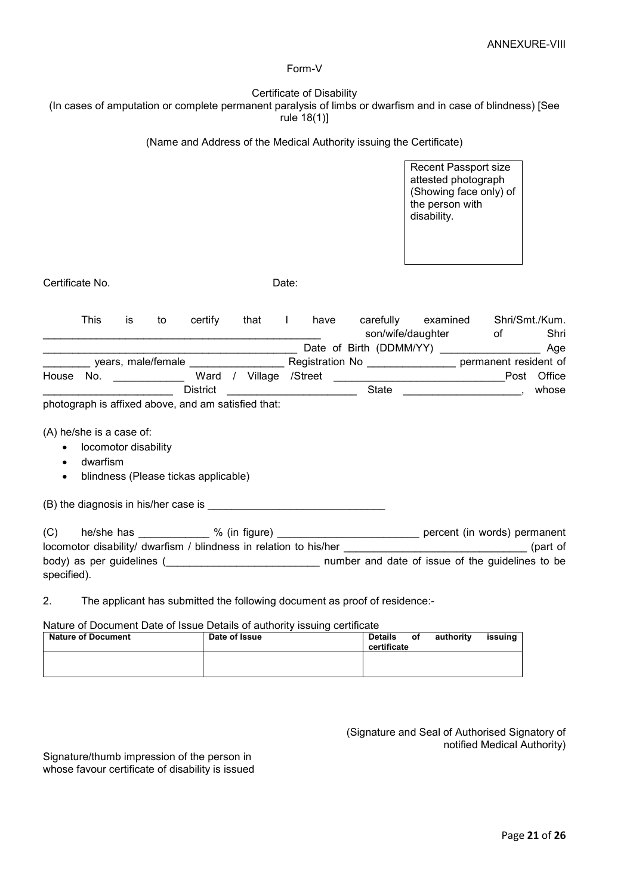#### Form-V

|             |                          |    |                                                                                                                                                                                                                               |       | rule 18(1)] | Certificate of Disability | (In cases of amputation or complete permanent paralysis of limbs or dwarfism and in case of blindness) [See                                                                                                                    |                                                                                                                |           |                        |
|-------------|--------------------------|----|-------------------------------------------------------------------------------------------------------------------------------------------------------------------------------------------------------------------------------|-------|-------------|---------------------------|--------------------------------------------------------------------------------------------------------------------------------------------------------------------------------------------------------------------------------|----------------------------------------------------------------------------------------------------------------|-----------|------------------------|
|             |                          |    |                                                                                                                                                                                                                               |       |             |                           | (Name and Address of the Medical Authority issuing the Certificate)                                                                                                                                                            |                                                                                                                |           |                        |
|             |                          |    |                                                                                                                                                                                                                               |       |             |                           |                                                                                                                                                                                                                                | <b>Recent Passport size</b><br>attested photograph<br>(Showing face only) of<br>the person with<br>disability. |           |                        |
|             | Certificate No.          |    |                                                                                                                                                                                                                               | Date: |             |                           |                                                                                                                                                                                                                                |                                                                                                                |           |                        |
|             | This                     | is | to certify                                                                                                                                                                                                                    |       |             |                           | that I have carefully examined                                                                                                                                                                                                 | son/wife/daughter                                                                                              | $\circ$ f | Shri/Smt./Kum.<br>Shri |
|             |                          |    |                                                                                                                                                                                                                               |       |             |                           | _______ years, male/female ___________________ Registration No _______________ permanent resident of                                                                                                                           |                                                                                                                |           |                        |
|             |                          |    |                                                                                                                                                                                                                               |       |             |                           | House No. ______________ Ward / Village /Street ________________________________Post Office                                                                                                                                    |                                                                                                                |           |                        |
|             |                          |    | <b>District</b>                                                                                                                                                                                                               |       |             |                           |                                                                                                                                                                                                                                |                                                                                                                |           | whose                  |
|             |                          |    | photograph is affixed above, and am satisfied that:                                                                                                                                                                           |       |             |                           |                                                                                                                                                                                                                                |                                                                                                                |           |                        |
|             | (A) he/she is a case of: |    |                                                                                                                                                                                                                               |       |             |                           |                                                                                                                                                                                                                                |                                                                                                                |           |                        |
|             | locomotor disability     |    |                                                                                                                                                                                                                               |       |             |                           |                                                                                                                                                                                                                                |                                                                                                                |           |                        |
| $\bullet$   | dwarfism                 |    |                                                                                                                                                                                                                               |       |             |                           |                                                                                                                                                                                                                                |                                                                                                                |           |                        |
| $\bullet$   |                          |    | blindness (Please tickas applicable)                                                                                                                                                                                          |       |             |                           |                                                                                                                                                                                                                                |                                                                                                                |           |                        |
|             |                          |    | (B) the diagnosis in his/her case is example the diagnosis of the state of the state of the state of the state of the state of the state of the state of the state of the state of the state of the state of the state of the |       |             |                           |                                                                                                                                                                                                                                |                                                                                                                |           |                        |
|             |                          |    |                                                                                                                                                                                                                               |       |             |                           | (C) he/she has ______________ % (in figure) ____________________________ percent (in words) permanent                                                                                                                          |                                                                                                                |           |                        |
|             |                          |    |                                                                                                                                                                                                                               |       |             |                           | locomotor disability/ dwarfism / blindness in relation to his/her                                                                                                                                                              | and the contract of the contract of the contract of                                                            |           |                        |
| specified). |                          |    |                                                                                                                                                                                                                               |       |             |                           | body) as per guidelines ( body) as per guidelines ( body) as per guidelines ( body) as per guidelines ( body) as per guidelines ( body) as per guidelines ( body) as per guidelines ( body) as per guidelines ( body) as per g |                                                                                                                |           |                        |
|             |                          |    |                                                                                                                                                                                                                               |       |             |                           |                                                                                                                                                                                                                                |                                                                                                                |           |                        |
| 2.          |                          |    |                                                                                                                                                                                                                               |       |             |                           | The applicant has submitted the following document as proof of residence:-                                                                                                                                                     |                                                                                                                |           |                        |

Nature of Document Date of Issue Details of authority issuing certificate

| <b>Nature of Document</b> | Date of Issue | <b>Details</b><br>οf<br>certificate | authoritv | issuina |
|---------------------------|---------------|-------------------------------------|-----------|---------|
|                           |               |                                     |           |         |

(Signature and Seal of Authorised Signatory of notified Medical Authority)

Signature/thumb impression of the person in whose favour certificate of disability is issued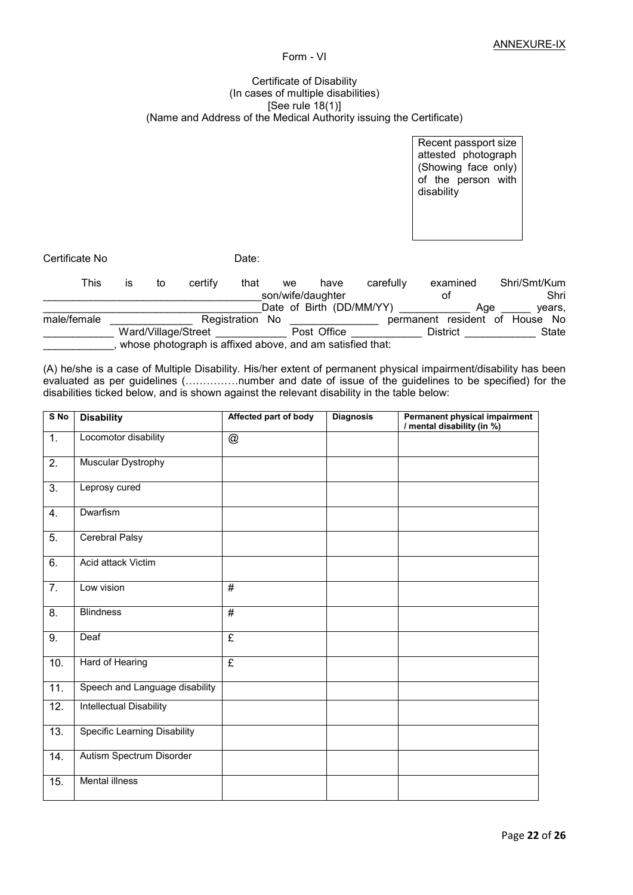# Form - VI

#### Certificate of Disability (In cases of multiple disabilities) [See rule 18(1)] (Name and Address of the Medical Authority issuing the Certificate)

Recent passport size attested photograph (Showing face only) of the person with disability

Certificate No **Date:** 

| This        | IS | to | certify                                                   | that                | we | have                     | carefully | examined                       | Shri/Smt/Kum |        |
|-------------|----|----|-----------------------------------------------------------|---------------------|----|--------------------------|-----------|--------------------------------|--------------|--------|
|             |    |    |                                                           |                     |    | son/wife/daughter        |           | οt                             |              | Shri   |
|             |    |    |                                                           |                     |    | Date of Birth (DD/MM/YY) |           | Age                            |              | vears. |
| male/female |    |    |                                                           | Registration<br>No. |    |                          |           | permanent resident of House No |              |        |
|             |    |    | Ward/Village/Street                                       |                     |    | Post Office              |           | <b>District</b>                |              | State  |
|             |    |    | whose photograph is affixed above, and am satisfied that: |                     |    |                          |           |                                |              |        |

(A) he/she is a case of Multiple Disability. His/her extent of permanent physical impairment/disability has been evaluated as per guidelines (................number and date of issue of the guidelines to be specified) for the disabilities ticked below, and is shown against the relevant disability in the table below:

| $S$ No           | <b>Disability</b>                   | Affected part of body     | <b>Diagnosis</b> | Permanent physical impairment<br>/ mental disability (in %) |
|------------------|-------------------------------------|---------------------------|------------------|-------------------------------------------------------------|
| $\overline{1}$ . | Locomotor disability                | $^\text{\textregistered}$ |                  |                                                             |
| $\overline{2}$ . | Muscular Dystrophy                  |                           |                  |                                                             |
| $\overline{3}$ . | Leprosy cured                       |                           |                  |                                                             |
| 4.               | Dwarfism                            |                           |                  |                                                             |
| 5.               | Cerebral Palsy                      |                           |                  |                                                             |
| 6.               | Acid attack Victim                  |                           |                  |                                                             |
| 7.               | Low vision                          | #                         |                  |                                                             |
| 8.               | <b>Blindness</b>                    | $\overline{\#}$           |                  |                                                             |
| 9.               | Deaf                                | £                         |                  |                                                             |
| 10.              | Hard of Hearing                     | $\overline{\mathbf{f}}$   |                  |                                                             |
| 11.              | Speech and Language disability      |                           |                  |                                                             |
| 12.              | <b>Intellectual Disability</b>      |                           |                  |                                                             |
| 13.              | <b>Specific Learning Disability</b> |                           |                  |                                                             |
| 14.              | Autism Spectrum Disorder            |                           |                  |                                                             |
| 15.              | <b>Mental illness</b>               |                           |                  |                                                             |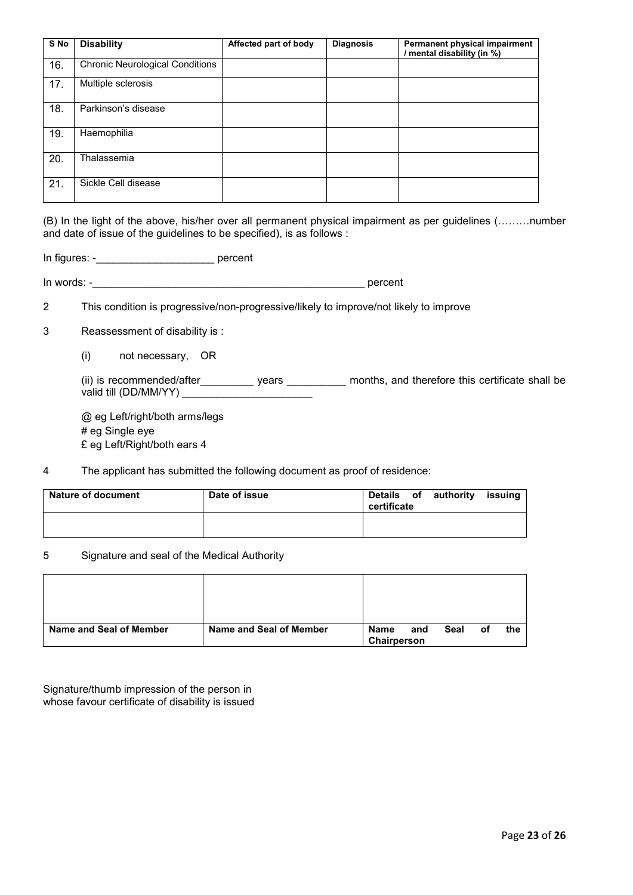| S No | <b>Disability</b>                      | Affected part of body | <b>Diagnosis</b> | Permanent physical impairment<br>/ mental disability (in %) |
|------|----------------------------------------|-----------------------|------------------|-------------------------------------------------------------|
| 16.  | <b>Chronic Neurological Conditions</b> |                       |                  |                                                             |
| 17.  | Multiple sclerosis                     |                       |                  |                                                             |
| 18.  | Parkinson's disease                    |                       |                  |                                                             |
| 19.  | Haemophilia                            |                       |                  |                                                             |
| 20.  | Thalassemia                            |                       |                  |                                                             |
| 21.  | Sickle Cell disease                    |                       |                  |                                                             |

(B) In the light of the above, his/her over all permanent physical impairment as per guidelines (………number and date of issue of the guidelines to be specified), is as follows :

In figures: -\_\_\_\_\_\_\_\_\_\_\_\_\_\_\_\_\_\_\_\_ percent

In words: -\_\_\_\_\_\_\_\_\_\_\_\_\_\_\_\_\_\_\_\_\_\_\_\_\_\_\_\_\_\_\_\_\_\_\_\_\_\_\_\_\_\_\_\_\_\_ percent

2 This condition is progressive/non-progressive/likely to improve/not likely to improve

3 Reassessment of disability is :

(i) not necessary, OR

(ii) is recommended/after\_\_\_\_\_\_\_\_\_\_ years \_\_\_\_\_\_\_\_\_\_ months, and therefore this certificate shall be valid till  $(DD/MM/YY)$ 

@ eg Left/right/both arms/legs # eg Single eye £ eg Left/Right/both ears 4

4 The applicant has submitted the following document as proof of residence:

| <b>Nature of document</b> | Date of issue | Details of authority<br>issuing<br>certificate |
|---------------------------|---------------|------------------------------------------------|
|                           |               |                                                |

# 5 Signature and seal of the Medical Authority

| Name and Seal of Member | Name and Seal of Member | Name<br>Chairperson | and | Seal | οf | the |
|-------------------------|-------------------------|---------------------|-----|------|----|-----|

Signature/thumb impression of the person in whose favour certificate of disability is issued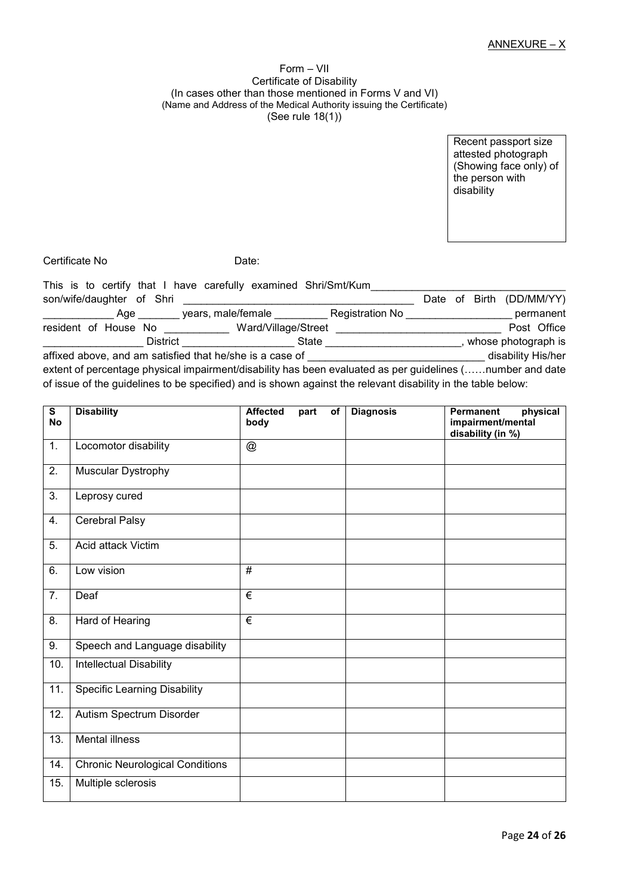#### Form – VII Certificate of Disability (In cases other than those mentioned in Forms V and VI) (Name and Address of the Medical Authority issuing the Certificate) (See rule 18(1))

Recent passport size attested photograph (Showing face only) of the person with disability

Certificate No **Date:** 

| This is to certify that I have carefully examined Shri/Smt/Kum                                                                                                                                                                         |                     |                 |  |                          |
|----------------------------------------------------------------------------------------------------------------------------------------------------------------------------------------------------------------------------------------|---------------------|-----------------|--|--------------------------|
| son/wife/daughter of Shri                                                                                                                                                                                                              |                     |                 |  | Date of Birth (DD/MM/YY) |
| Age                                                                                                                                                                                                                                    | years, male/female  | Registration No |  | permanent                |
| resident of House No<br><u>Letter and the set of the set of the set of the set of the set of the set of the set of the set of the set of the set of the set of the set of the set of the set of the set of the set of the set of t</u> | Ward/Village/Street |                 |  | Post Office              |
| District                                                                                                                                                                                                                               | State               |                 |  | whose photograph is      |
| affixed above, and am satisfied that he/she is a case of                                                                                                                                                                               |                     |                 |  | disability His/her       |
| extent of percentage physical impairment/disability has been evaluated as per guidelines (number and date                                                                                                                              |                     |                 |  |                          |

of issue of the guidelines to be specified) and is shown against the relevant disability in the table below:

| $\overline{\mathbf{s}}$<br><b>No</b> | <b>Disability</b>                      | <b>Affected</b><br>body   | part | of | <b>Diagnosis</b> | physical<br>Permanent<br>impairment/mental |
|--------------------------------------|----------------------------------------|---------------------------|------|----|------------------|--------------------------------------------|
| 1.                                   | Locomotor disability                   | $^\text{\textregistered}$ |      |    |                  | disability (in %)                          |
|                                      |                                        |                           |      |    |                  |                                            |
| 2.                                   | Muscular Dystrophy                     |                           |      |    |                  |                                            |
| $\overline{3}$ .                     | Leprosy cured                          |                           |      |    |                  |                                            |
| 4.                                   | Cerebral Palsy                         |                           |      |    |                  |                                            |
| 5.                                   | Acid attack Victim                     |                           |      |    |                  |                                            |
| 6.                                   | Low vision                             | $\overline{\#}$           |      |    |                  |                                            |
| 7.                                   | Deaf                                   | $\overline{\epsilon}$     |      |    |                  |                                            |
| 8.                                   | Hard of Hearing                        | €                         |      |    |                  |                                            |
| 9.                                   | Speech and Language disability         |                           |      |    |                  |                                            |
| 10.                                  | Intellectual Disability                |                           |      |    |                  |                                            |
| 11.                                  | <b>Specific Learning Disability</b>    |                           |      |    |                  |                                            |
| $\overline{12}$ .                    | Autism Spectrum Disorder               |                           |      |    |                  |                                            |
| 13.                                  | <b>Mental illness</b>                  |                           |      |    |                  |                                            |
| 14.                                  | <b>Chronic Neurological Conditions</b> |                           |      |    |                  |                                            |
| 15.                                  | Multiple sclerosis                     |                           |      |    |                  |                                            |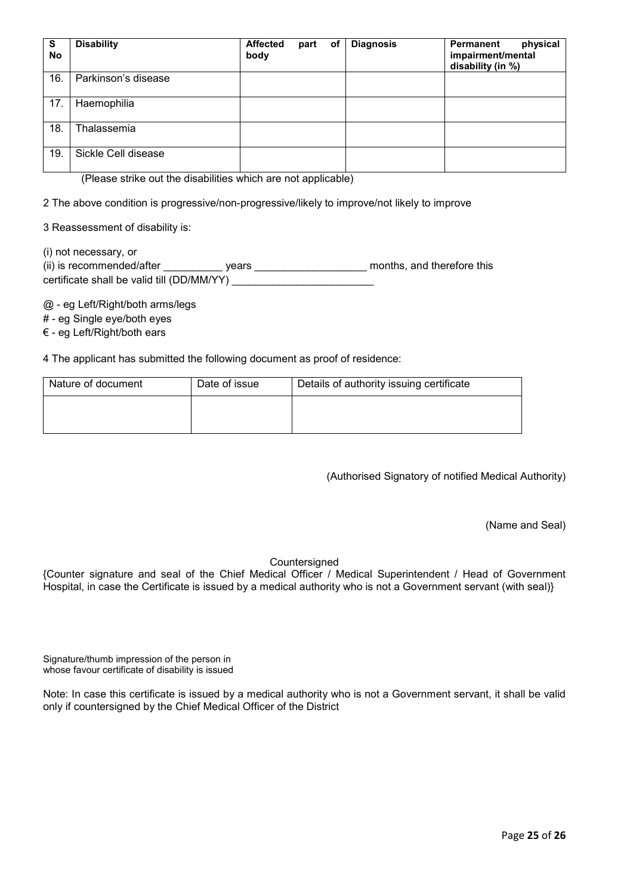| S<br><b>No</b> | <b>Disability</b>   | <b>Affected</b><br>body | part | of | <b>Diagnosis</b> | Permanent<br>physical<br>impairment/mental<br>disability (in %) |
|----------------|---------------------|-------------------------|------|----|------------------|-----------------------------------------------------------------|
| 16.            | Parkinson's disease |                         |      |    |                  |                                                                 |
| 17.            | Haemophilia         |                         |      |    |                  |                                                                 |
| 18.            | Thalassemia         |                         |      |    |                  |                                                                 |
| 19.            | Sickle Cell disease |                         |      |    |                  |                                                                 |

(Please strike out the disabilities which are not applicable)

2 The above condition is progressive/non-progressive/likely to improve/not likely to improve

3 Reassessment of disability is:

(i) not necessary, or

| (ii) is recommended/after                  | vears | months, and therefore this |
|--------------------------------------------|-------|----------------------------|
| certificate shall be valid till (DD/MM/YY) |       |                            |

@ - eg Left/Right/both arms/legs

# - eg Single eye/both eyes

€ - eg Left/Right/both ears

4 The applicant has submitted the following document as proof of residence:

| Nature of document | Date of issue | Details of authority issuing certificate |
|--------------------|---------------|------------------------------------------|
|                    |               |                                          |
|                    |               |                                          |

(Authorised Signatory of notified Medical Authority)

(Name and Seal)

# Countersigned

{Counter signature and seal of the Chief Medical Officer / Medical Superintendent / Head of Government Hospital, in case the Certificate is issued by a medical authority who is not a Government servant (with seal)}

Signature/thumb impression of the person in whose favour certificate of disability is issued

Note: In case this certificate is issued by a medical authority who is not a Government servant, it shall be valid only if countersigned by the Chief Medical Officer of the District